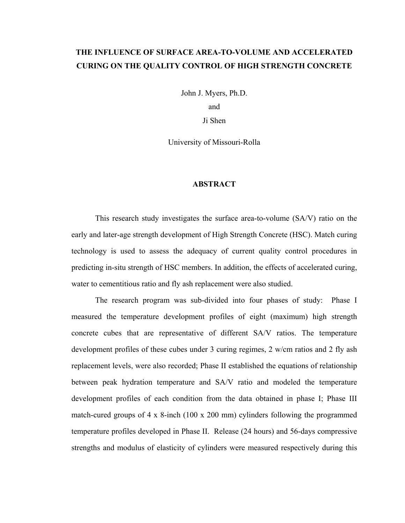# **THE INFLUENCE OF SURFACE AREA-TO-VOLUME AND ACCELERATED CURING ON THE QUALITY CONTROL OF HIGH STRENGTH CONCRETE**

John J. Myers, Ph.D.

and

Ji Shen

University of Missouri-Rolla

#### **ABSTRACT**

This research study investigates the surface area-to-volume (SA/V) ratio on the early and later-age strength development of High Strength Concrete (HSC). Match curing technology is used to assess the adequacy of current quality control procedures in predicting in-situ strength of HSC members. In addition, the effects of accelerated curing, water to cementitious ratio and fly ash replacement were also studied.

The research program was sub-divided into four phases of study: Phase I measured the temperature development profiles of eight (maximum) high strength concrete cubes that are representative of different SA/V ratios. The temperature development profiles of these cubes under 3 curing regimes, 2 w/cm ratios and 2 fly ash replacement levels, were also recorded; Phase II established the equations of relationship between peak hydration temperature and SA/V ratio and modeled the temperature development profiles of each condition from the data obtained in phase I; Phase III match-cured groups of 4 x 8-inch (100 x 200 mm) cylinders following the programmed temperature profiles developed in Phase II. Release (24 hours) and 56-days compressive strengths and modulus of elasticity of cylinders were measured respectively during this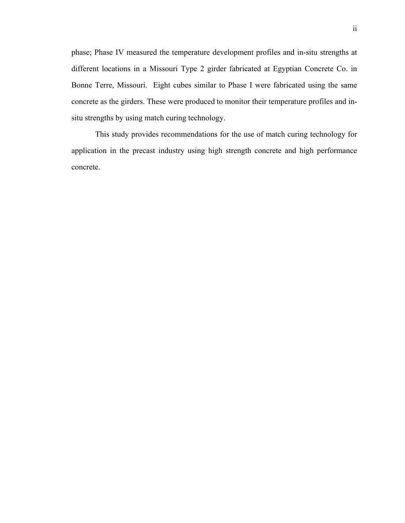phase; Phase IV measured the temperature development profiles and in-situ strengths at different locations in a Missouri Type 2 girder fabricated at Egyptian Concrete Co. in Bonne Terre, Missouri. Eight cubes similar to Phase I were fabricated using the same concrete as the girders. These were produced to monitor their temperature profiles and insitu strengths by using match curing technology.

This study provides recommendations for the use of match curing technology for application in the precast industry using high strength concrete and high performance concrete.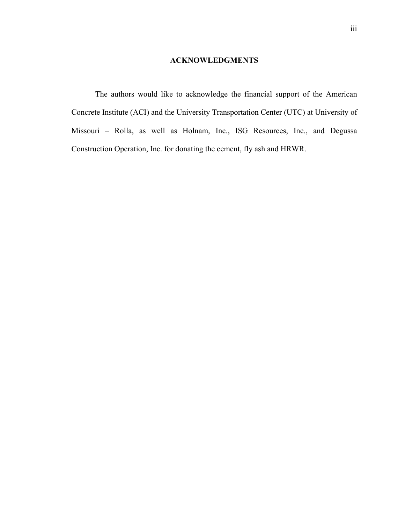### **ACKNOWLEDGMENTS**

The authors would like to acknowledge the financial support of the American Concrete Institute (ACI) and the University Transportation Center (UTC) at University of Missouri – Rolla, as well as Holnam, Inc., ISG Resources, Inc., and Degussa Construction Operation, Inc. for donating the cement, fly ash and HRWR.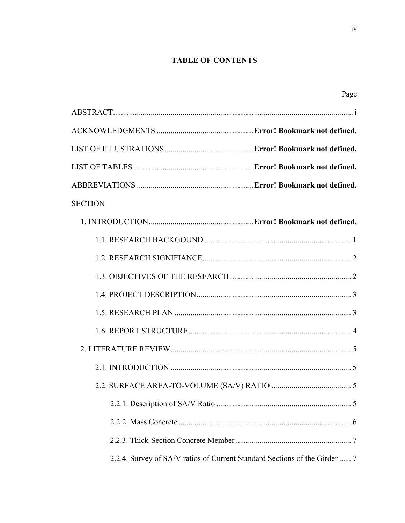## **TABLE OF CONTENTS**

Page

| <b>SECTION</b> |                                                                            |
|----------------|----------------------------------------------------------------------------|
|                |                                                                            |
|                |                                                                            |
|                |                                                                            |
|                |                                                                            |
|                |                                                                            |
|                |                                                                            |
|                |                                                                            |
|                |                                                                            |
|                |                                                                            |
|                |                                                                            |
|                |                                                                            |
|                |                                                                            |
|                |                                                                            |
|                | 2.2.4. Survey of SA/V ratios of Current Standard Sections of the Girder  7 |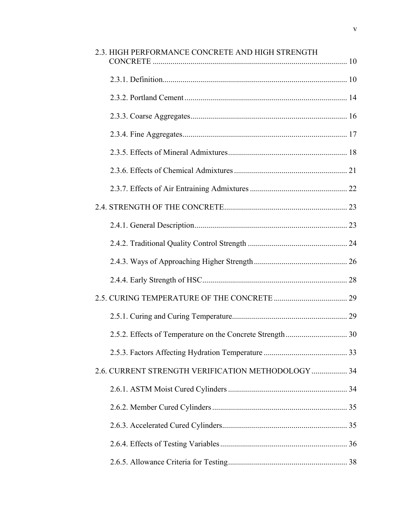| 2.3. HIGH PERFORMANCE CONCRETE AND HIGH STRENGTH   |  |
|----------------------------------------------------|--|
|                                                    |  |
|                                                    |  |
|                                                    |  |
|                                                    |  |
|                                                    |  |
|                                                    |  |
|                                                    |  |
|                                                    |  |
|                                                    |  |
|                                                    |  |
|                                                    |  |
|                                                    |  |
|                                                    |  |
|                                                    |  |
|                                                    |  |
|                                                    |  |
| 2.6. CURRENT STRENGTH VERIFICATION METHODOLOGY  34 |  |
|                                                    |  |
|                                                    |  |
|                                                    |  |
|                                                    |  |
|                                                    |  |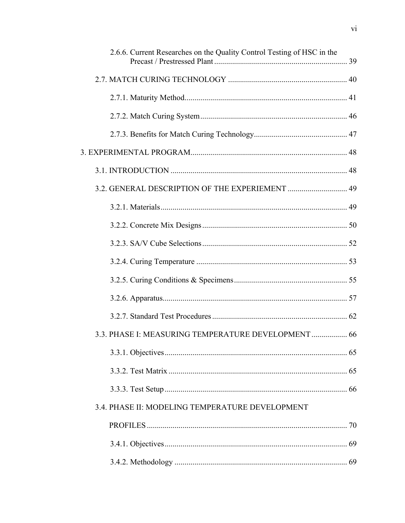| 2.6.6. Current Researches on the Quality Control Testing of HSC in the |  |
|------------------------------------------------------------------------|--|
|                                                                        |  |
|                                                                        |  |
|                                                                        |  |
|                                                                        |  |
|                                                                        |  |
|                                                                        |  |
|                                                                        |  |
|                                                                        |  |
|                                                                        |  |
|                                                                        |  |
|                                                                        |  |
|                                                                        |  |
|                                                                        |  |
|                                                                        |  |
| 3.3. PHASE I: MEASURING TEMPERATURE DEVELOPMENT 66                     |  |
|                                                                        |  |
|                                                                        |  |
|                                                                        |  |
| 3.4. PHASE II: MODELING TEMPERATURE DEVELOPMENT                        |  |
|                                                                        |  |
|                                                                        |  |
|                                                                        |  |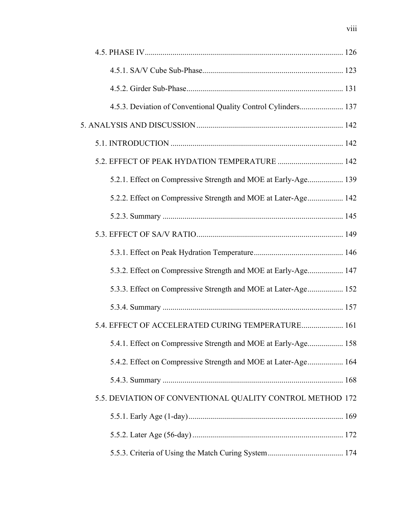| 4.5.3. Deviation of Conventional Quality Control Cylinders 137 |  |
|----------------------------------------------------------------|--|
|                                                                |  |
|                                                                |  |
| 5.2. EFFECT OF PEAK HYDATION TEMPERATURE  142                  |  |
| 5.2.1. Effect on Compressive Strength and MOE at Early-Age 139 |  |
| 5.2.2. Effect on Compressive Strength and MOE at Later-Age 142 |  |
|                                                                |  |
|                                                                |  |
|                                                                |  |
| 5.3.2. Effect on Compressive Strength and MOE at Early-Age 147 |  |
| 5.3.3. Effect on Compressive Strength and MOE at Later-Age 152 |  |
|                                                                |  |
| 5.4. EFFECT OF ACCELERATED CURING TEMPERATURE 161              |  |
| 5.4.1. Effect on Compressive Strength and MOE at Early-Age 158 |  |
| 5.4.2. Effect on Compressive Strength and MOE at Later-Age 164 |  |
|                                                                |  |
| 5.5. DEVIATION OF CONVENTIONAL QUALITY CONTROL METHOD 172      |  |
|                                                                |  |
|                                                                |  |
|                                                                |  |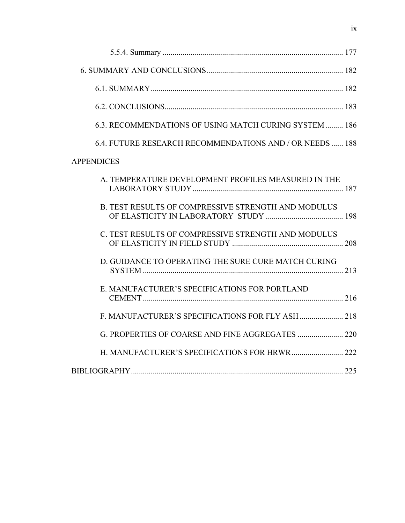| 6.3. RECOMMENDATIONS OF USING MATCH CURING SYSTEM 186    |  |
|----------------------------------------------------------|--|
| 6.4. FUTURE RESEARCH RECOMMENDATIONS AND / OR NEEDS  188 |  |
| <b>APPENDICES</b>                                        |  |
| A. TEMPERATURE DEVELOPMENT PROFILES MEASURED IN THE      |  |
| B. TEST RESULTS OF COMPRESSIVE STRENGTH AND MODULUS      |  |
| C. TEST RESULTS OF COMPRESSIVE STRENGTH AND MODULUS      |  |
| D. GUIDANCE TO OPERATING THE SURE CURE MATCH CURING      |  |
| E. MANUFACTURER'S SPECIFICATIONS FOR PORTLAND            |  |
|                                                          |  |
|                                                          |  |
| H. MANUFACTURER'S SPECIFICATIONS FOR HRWR 222            |  |
|                                                          |  |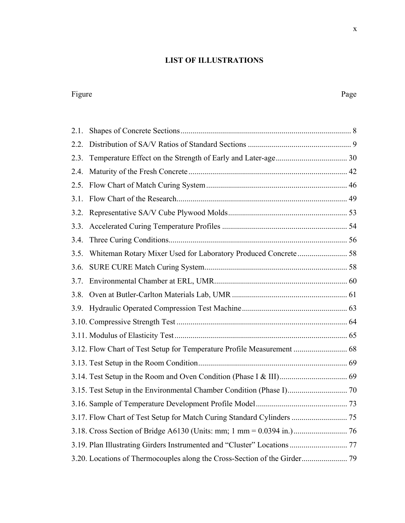# **LIST OF ILLUSTRATIONS**

#### Figure Page

| 2.1. |                                                                         |  |
|------|-------------------------------------------------------------------------|--|
| 2.2. |                                                                         |  |
| 2.3. |                                                                         |  |
| 2.4. |                                                                         |  |
| 2.5. |                                                                         |  |
| 3.1. |                                                                         |  |
| 3.2. |                                                                         |  |
| 3.3. |                                                                         |  |
| 3.4. |                                                                         |  |
| 3.5. | Whiteman Rotary Mixer Used for Laboratory Produced Concrete 58          |  |
| 3.6. |                                                                         |  |
| 3.7. |                                                                         |  |
| 3.8. |                                                                         |  |
| 3.9. |                                                                         |  |
|      |                                                                         |  |
|      |                                                                         |  |
|      | 3.12. Flow Chart of Test Setup for Temperature Profile Measurement  68  |  |
|      |                                                                         |  |
|      |                                                                         |  |
|      |                                                                         |  |
|      |                                                                         |  |
|      |                                                                         |  |
|      |                                                                         |  |
|      | 3.19. Plan Illustrating Girders Instrumented and "Cluster" Locations 77 |  |
|      |                                                                         |  |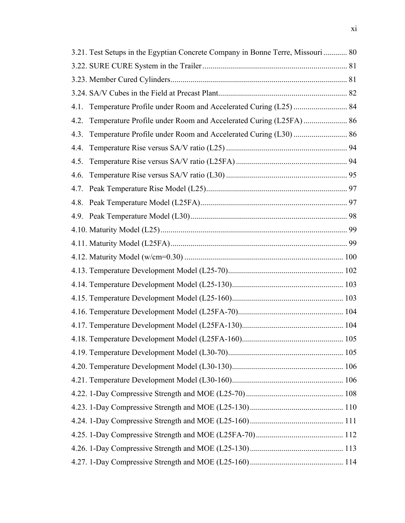|      | 3.21. Test Setups in the Egyptian Concrete Company in Bonne Terre, Missouri  80 |  |
|------|---------------------------------------------------------------------------------|--|
|      |                                                                                 |  |
|      |                                                                                 |  |
|      |                                                                                 |  |
| 4.1. |                                                                                 |  |
| 4.2. | Temperature Profile under Room and Accelerated Curing (L25FA)  86               |  |
| 4.3. |                                                                                 |  |
| 4.4. |                                                                                 |  |
| 4.5. |                                                                                 |  |
| 4.6. |                                                                                 |  |
| 4.7. |                                                                                 |  |
| 4.8. |                                                                                 |  |
|      |                                                                                 |  |
|      |                                                                                 |  |
|      |                                                                                 |  |
|      |                                                                                 |  |
|      |                                                                                 |  |
|      |                                                                                 |  |
|      |                                                                                 |  |
|      |                                                                                 |  |
|      |                                                                                 |  |
|      |                                                                                 |  |
|      |                                                                                 |  |
|      |                                                                                 |  |
|      |                                                                                 |  |
|      |                                                                                 |  |
|      |                                                                                 |  |
|      |                                                                                 |  |
|      |                                                                                 |  |
|      |                                                                                 |  |
|      |                                                                                 |  |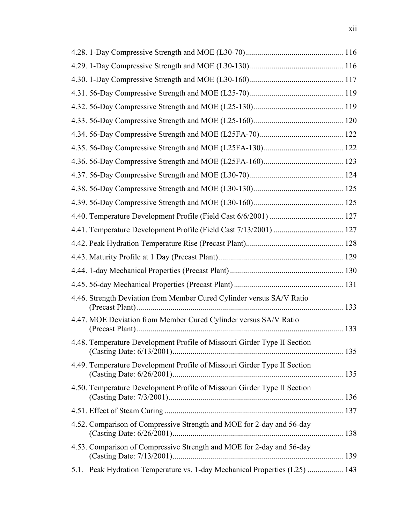| 4.41. Temperature Development Profile (Field Cast 7/13/2001)  127          |  |
|----------------------------------------------------------------------------|--|
|                                                                            |  |
|                                                                            |  |
|                                                                            |  |
|                                                                            |  |
| 4.46. Strength Deviation from Member Cured Cylinder versus SA/V Ratio      |  |
| 4.47. MOE Deviation from Member Cured Cylinder versus SA/V Ratio           |  |
| 4.48. Temperature Development Profile of Missouri Girder Type II Section   |  |
| 4.49. Temperature Development Profile of Missouri Girder Type II Section   |  |
| 4.50. Temperature Development Profile of Missouri Girder Type II Section   |  |
|                                                                            |  |
| 4.52. Comparison of Compressive Strength and MOE for 2-day and 56-day      |  |
| 4.53. Comparison of Compressive Strength and MOE for 2-day and 56-day      |  |
| 5.1. Peak Hydration Temperature vs. 1-day Mechanical Properties (L25)  143 |  |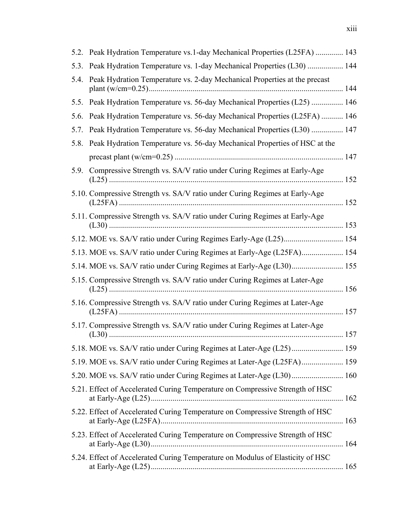|      | 5.2. Peak Hydration Temperature vs.1-day Mechanical Properties (L25FA)  143    |  |
|------|--------------------------------------------------------------------------------|--|
| 5.3. | Peak Hydration Temperature vs. 1-day Mechanical Properties (L30)  144          |  |
| 5.4. | Peak Hydration Temperature vs. 2-day Mechanical Properties at the precast      |  |
|      | 5.5. Peak Hydration Temperature vs. 56-day Mechanical Properties (L25)  146    |  |
| 5.6. | Peak Hydration Temperature vs. 56-day Mechanical Properties (L25FA)  146       |  |
| 5.7. | Peak Hydration Temperature vs. 56-day Mechanical Properties (L30)  147         |  |
|      | 5.8. Peak Hydration Temperature vs. 56-day Mechanical Properties of HSC at the |  |
|      |                                                                                |  |
| 5.9. | Compressive Strength vs. SA/V ratio under Curing Regimes at Early-Age          |  |
|      | 5.10. Compressive Strength vs. SA/V ratio under Curing Regimes at Early-Age    |  |
|      | 5.11. Compressive Strength vs. SA/V ratio under Curing Regimes at Early-Age    |  |
|      |                                                                                |  |
|      | 5.13. MOE vs. SA/V ratio under Curing Regimes at Early-Age (L25FA) 154         |  |
|      | 5.14. MOE vs. SA/V ratio under Curing Regimes at Early-Age (L30) 155           |  |
|      | 5.15. Compressive Strength vs. SA/V ratio under Curing Regimes at Later-Age    |  |
|      | 5.16. Compressive Strength vs. SA/V ratio under Curing Regimes at Later-Age    |  |
|      | 5.17. Compressive Strength vs. SA/V ratio under Curing Regimes at Later-Age    |  |
|      |                                                                                |  |
|      | 5.19. MOE vs. SA/V ratio under Curing Regimes at Later-Age (L25FA) 159         |  |
|      | 5.20. MOE vs. SA/V ratio under Curing Regimes at Later-Age (L30) 160           |  |
|      | 5.21. Effect of Accelerated Curing Temperature on Compressive Strength of HSC  |  |
|      | 5.22. Effect of Accelerated Curing Temperature on Compressive Strength of HSC  |  |
|      | 5.23. Effect of Accelerated Curing Temperature on Compressive Strength of HSC  |  |
|      | 5.24. Effect of Accelerated Curing Temperature on Modulus of Elasticity of HSC |  |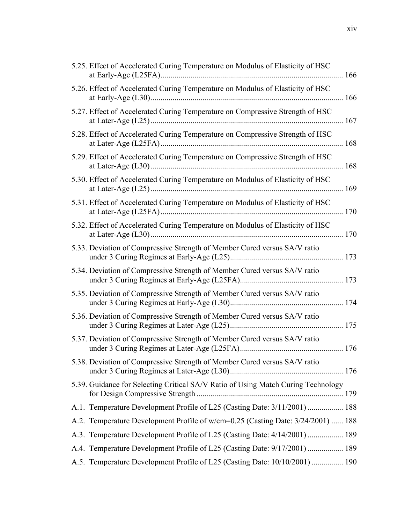| A.1. Temperature Development Profile of L25 (Casting Date: 3/11/2001)  188       |
|----------------------------------------------------------------------------------|
| A.2. Temperature Development Profile of w/cm=0.25 (Casting Date: 3/24/2001)  188 |
| A.3. Temperature Development Profile of L25 (Casting Date: 4/14/2001)  189       |
| A.4. Temperature Development Profile of L25 (Casting Date: 9/17/2001)  189       |
| A.5. Temperature Development Profile of L25 (Casting Date: 10/10/2001)  190      |
|                                                                                  |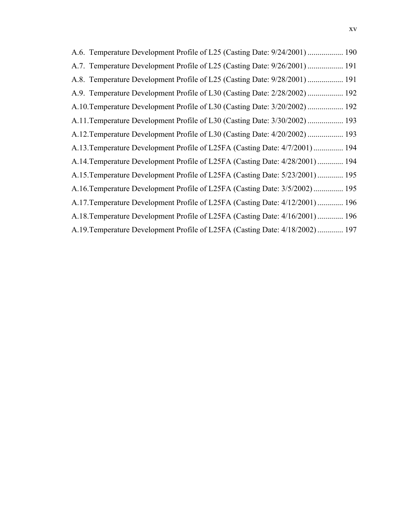| A.6. Temperature Development Profile of L25 (Casting Date: 9/24/2001)  190    |
|-------------------------------------------------------------------------------|
| A.7. Temperature Development Profile of L25 (Casting Date: 9/26/2001)  191    |
| A.8. Temperature Development Profile of L25 (Casting Date: 9/28/2001)  191    |
| A.9. Temperature Development Profile of L30 (Casting Date: 2/28/2002)  192    |
| A.10. Temperature Development Profile of L30 (Casting Date: 3/20/2002)  192   |
| A.11. Temperature Development Profile of L30 (Casting Date: 3/30/2002)  193   |
| A.12. Temperature Development Profile of L30 (Casting Date: 4/20/2002)  193   |
| A.13. Temperature Development Profile of L25FA (Casting Date: 4/7/2001)  194  |
| A.14. Temperature Development Profile of L25FA (Casting Date: 4/28/2001)  194 |
| A.15. Temperature Development Profile of L25FA (Casting Date: 5/23/2001)  195 |
| A.16. Temperature Development Profile of L25FA (Casting Date: 3/5/2002)  195  |
| A.17. Temperature Development Profile of L25FA (Casting Date: 4/12/2001)  196 |
| A.18. Temperature Development Profile of L25FA (Casting Date: 4/16/2001)  196 |
| A.19. Temperature Development Profile of L25FA (Casting Date: 4/18/2002)  197 |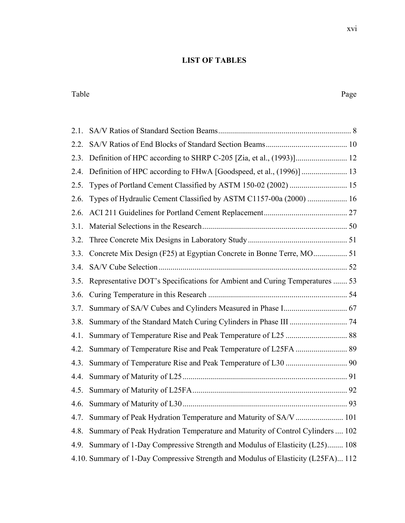## **LIST OF TABLES**

#### Table Page

| 2.1. |                                                                                   |  |
|------|-----------------------------------------------------------------------------------|--|
| 2.2. |                                                                                   |  |
| 2.3. |                                                                                   |  |
| 2.4. | Definition of HPC according to FHwA [Goodspeed, et al., (1996)]  13               |  |
| 2.5. | Types of Portland Cement Classified by ASTM 150-02 (2002)  15                     |  |
| 2.6. | Types of Hydraulic Cement Classified by ASTM C1157-00a (2000)  16                 |  |
| 2.6. |                                                                                   |  |
| 3.1. |                                                                                   |  |
| 3.2. |                                                                                   |  |
| 3.3. |                                                                                   |  |
| 3.4. |                                                                                   |  |
| 3.5. | Representative DOT's Specifications for Ambient and Curing Temperatures  53       |  |
| 3.6. |                                                                                   |  |
| 3.7. |                                                                                   |  |
| 3.8. |                                                                                   |  |
| 4.1. |                                                                                   |  |
| 4.2. |                                                                                   |  |
| 4.3. |                                                                                   |  |
| 4.4. |                                                                                   |  |
| 4.5. |                                                                                   |  |
| 4.6. |                                                                                   |  |
| 4.7. | Summary of Peak Hydration Temperature and Maturity of SA/V  101                   |  |
| 4.8. | Summary of Peak Hydration Temperature and Maturity of Control Cylinders  102      |  |
| 4.9. | Summary of 1-Day Compressive Strength and Modulus of Elasticity (L25) 108         |  |
|      | 4.10. Summary of 1-Day Compressive Strength and Modulus of Elasticity (L25FA) 112 |  |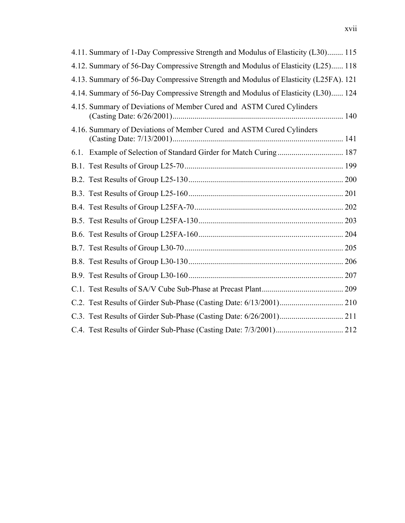| 4.11. Summary of 1-Day Compressive Strength and Modulus of Elasticity (L30) 115     |  |
|-------------------------------------------------------------------------------------|--|
| 4.12. Summary of 56-Day Compressive Strength and Modulus of Elasticity (L25) 118    |  |
| 4.13. Summary of 56-Day Compressive Strength and Modulus of Elasticity (L25FA). 121 |  |
| 4.14. Summary of 56-Day Compressive Strength and Modulus of Elasticity (L30) 124    |  |
| 4.15. Summary of Deviations of Member Cured and ASTM Cured Cylinders                |  |
| 4.16. Summary of Deviations of Member Cured and ASTM Cured Cylinders                |  |
| 6.1. Example of Selection of Standard Girder for Match Curing 187                   |  |
|                                                                                     |  |
|                                                                                     |  |
|                                                                                     |  |
|                                                                                     |  |
|                                                                                     |  |
|                                                                                     |  |
|                                                                                     |  |
|                                                                                     |  |
|                                                                                     |  |
|                                                                                     |  |
|                                                                                     |  |
|                                                                                     |  |
|                                                                                     |  |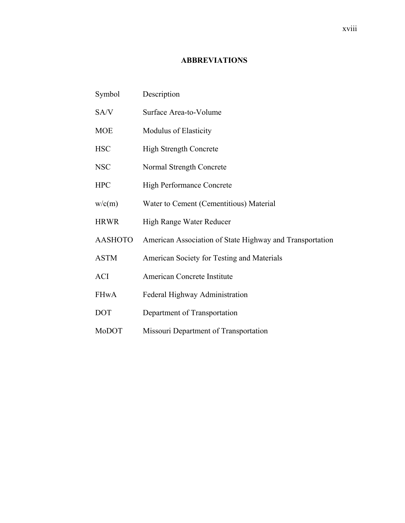### **ABBREVIATIONS**

| Symbol         | Description                                              |
|----------------|----------------------------------------------------------|
| SA/V           | Surface Area-to-Volume                                   |
| <b>MOE</b>     | <b>Modulus of Elasticity</b>                             |
| <b>HSC</b>     | High Strength Concrete                                   |
| <b>NSC</b>     | Normal Strength Concrete                                 |
| <b>HPC</b>     | <b>High Performance Concrete</b>                         |
| w/c(m)         | Water to Cement (Cementitious) Material                  |
| <b>HRWR</b>    | High Range Water Reducer                                 |
| <b>AASHOTO</b> | American Association of State Highway and Transportation |
| <b>ASTM</b>    | American Society for Testing and Materials               |
| <b>ACI</b>     | American Concrete Institute                              |
| <b>FHwA</b>    | Federal Highway Administration                           |
| <b>DOT</b>     | Department of Transportation                             |
| MoDOT          | Missouri Department of Transportation                    |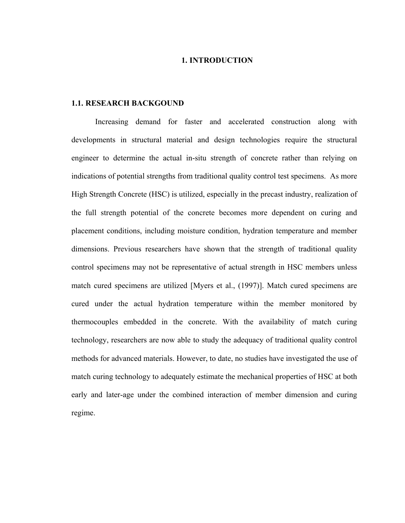#### **1. INTRODUCTION**

#### **1.1. RESEARCH BACKGOUND**

Increasing demand for faster and accelerated construction along with developments in structural material and design technologies require the structural engineer to determine the actual in-situ strength of concrete rather than relying on indications of potential strengths from traditional quality control test specimens. As more High Strength Concrete (HSC) is utilized, especially in the precast industry, realization of the full strength potential of the concrete becomes more dependent on curing and placement conditions, including moisture condition, hydration temperature and member dimensions. Previous researchers have shown that the strength of traditional quality control specimens may not be representative of actual strength in HSC members unless match cured specimens are utilized [Myers et al., (1997)]. Match cured specimens are cured under the actual hydration temperature within the member monitored by thermocouples embedded in the concrete. With the availability of match curing technology, researchers are now able to study the adequacy of traditional quality control methods for advanced materials. However, to date, no studies have investigated the use of match curing technology to adequately estimate the mechanical properties of HSC at both early and later-age under the combined interaction of member dimension and curing regime.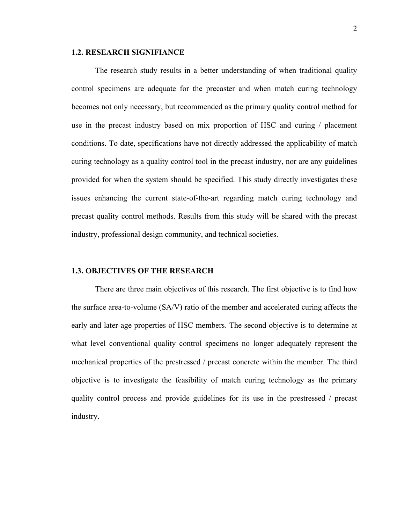#### **1.2. RESEARCH SIGNIFIANCE**

The research study results in a better understanding of when traditional quality control specimens are adequate for the precaster and when match curing technology becomes not only necessary, but recommended as the primary quality control method for use in the precast industry based on mix proportion of HSC and curing / placement conditions. To date, specifications have not directly addressed the applicability of match curing technology as a quality control tool in the precast industry, nor are any guidelines provided for when the system should be specified. This study directly investigates these issues enhancing the current state-of-the-art regarding match curing technology and precast quality control methods. Results from this study will be shared with the precast industry, professional design community, and technical societies.

#### **1.3. OBJECTIVES OF THE RESEARCH**

There are three main objectives of this research. The first objective is to find how the surface area-to-volume (SA/V) ratio of the member and accelerated curing affects the early and later-age properties of HSC members. The second objective is to determine at what level conventional quality control specimens no longer adequately represent the mechanical properties of the prestressed / precast concrete within the member. The third objective is to investigate the feasibility of match curing technology as the primary quality control process and provide guidelines for its use in the prestressed / precast industry.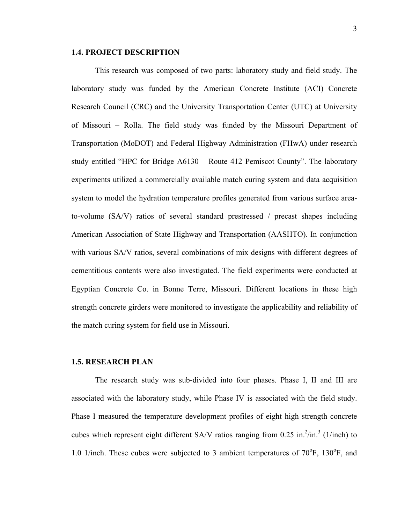#### **1.4. PROJECT DESCRIPTION**

This research was composed of two parts: laboratory study and field study. The laboratory study was funded by the American Concrete Institute (ACI) Concrete Research Council (CRC) and the University Transportation Center (UTC) at University of Missouri – Rolla. The field study was funded by the Missouri Department of Transportation (MoDOT) and Federal Highway Administration (FHwA) under research study entitled "HPC for Bridge A6130 – Route 412 Pemiscot County". The laboratory experiments utilized a commercially available match curing system and data acquisition system to model the hydration temperature profiles generated from various surface areato-volume (SA/V) ratios of several standard prestressed / precast shapes including American Association of State Highway and Transportation (AASHTO). In conjunction with various SA/V ratios, several combinations of mix designs with different degrees of cementitious contents were also investigated. The field experiments were conducted at Egyptian Concrete Co. in Bonne Terre, Missouri. Different locations in these high strength concrete girders were monitored to investigate the applicability and reliability of the match curing system for field use in Missouri.

#### **1.5. RESEARCH PLAN**

The research study was sub-divided into four phases. Phase I, II and III are associated with the laboratory study, while Phase IV is associated with the field study. Phase I measured the temperature development profiles of eight high strength concrete cubes which represent eight different SA/V ratios ranging from 0.25 in. $^{2}/$ in. $^{3}$  (1/inch) to 1.0 1/inch. These cubes were subjected to 3 ambient temperatures of  $70^{\circ}$ F,  $130^{\circ}$ F, and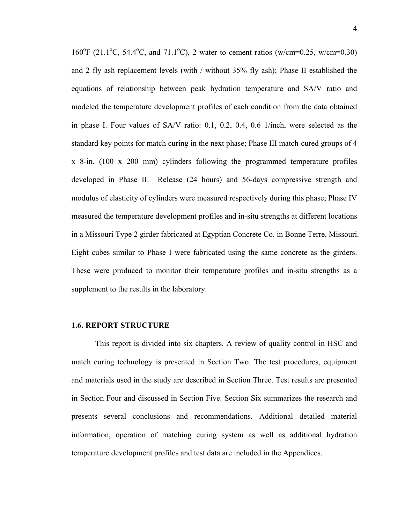160°F (21.1°C, 54.4°C, and 71.1°C), 2 water to cement ratios (w/cm=0.25, w/cm=0.30) and 2 fly ash replacement levels (with / without 35% fly ash); Phase II established the equations of relationship between peak hydration temperature and SA/V ratio and modeled the temperature development profiles of each condition from the data obtained in phase I. Four values of SA/V ratio: 0.1, 0.2, 0.4, 0.6 1/inch, were selected as the standard key points for match curing in the next phase; Phase III match-cured groups of 4 x 8-in. (100 x 200 mm) cylinders following the programmed temperature profiles developed in Phase II. Release (24 hours) and 56-days compressive strength and modulus of elasticity of cylinders were measured respectively during this phase; Phase IV measured the temperature development profiles and in-situ strengths at different locations in a Missouri Type 2 girder fabricated at Egyptian Concrete Co. in Bonne Terre, Missouri. Eight cubes similar to Phase I were fabricated using the same concrete as the girders. These were produced to monitor their temperature profiles and in-situ strengths as a supplement to the results in the laboratory.

#### **1.6. REPORT STRUCTURE**

This report is divided into six chapters. A review of quality control in HSC and match curing technology is presented in Section Two. The test procedures, equipment and materials used in the study are described in Section Three. Test results are presented in Section Four and discussed in Section Five. Section Six summarizes the research and presents several conclusions and recommendations. Additional detailed material information, operation of matching curing system as well as additional hydration temperature development profiles and test data are included in the Appendices.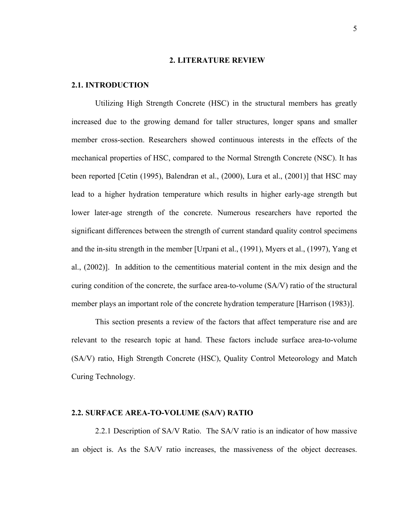#### **2. LITERATURE REVIEW**

#### **2.1. INTRODUCTION**

Utilizing High Strength Concrete (HSC) in the structural members has greatly increased due to the growing demand for taller structures, longer spans and smaller member cross-section. Researchers showed continuous interests in the effects of the mechanical properties of HSC, compared to the Normal Strength Concrete (NSC). It has been reported [Cetin (1995), Balendran et al., (2000), Lura et al., (2001)] that HSC may lead to a higher hydration temperature which results in higher early-age strength but lower later-age strength of the concrete. Numerous researchers have reported the significant differences between the strength of current standard quality control specimens and the in-situ strength in the member [Urpani et al., (1991), Myers et al., (1997), Yang et al., (2002)]. In addition to the cementitious material content in the mix design and the curing condition of the concrete, the surface area-to-volume (SA/V) ratio of the structural member plays an important role of the concrete hydration temperature [Harrison (1983)].

This section presents a review of the factors that affect temperature rise and are relevant to the research topic at hand. These factors include surface area-to-volume (SA/V) ratio, High Strength Concrete (HSC), Quality Control Meteorology and Match Curing Technology.

#### **2.2. SURFACE AREA-TO-VOLUME (SA/V) RATIO**

2.2.1 Description of SA/V Ratio. The SA/V ratio is an indicator of how massive an object is. As the SA/V ratio increases, the massiveness of the object decreases.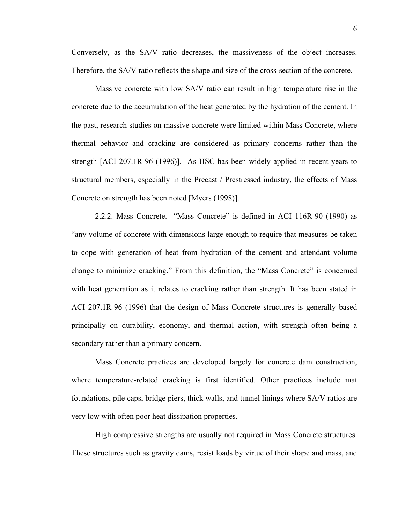Conversely, as the SA/V ratio decreases, the massiveness of the object increases. Therefore, the SA/V ratio reflects the shape and size of the cross-section of the concrete.

Massive concrete with low SA/V ratio can result in high temperature rise in the concrete due to the accumulation of the heat generated by the hydration of the cement. In the past, research studies on massive concrete were limited within Mass Concrete, where thermal behavior and cracking are considered as primary concerns rather than the strength [ACI 207.1R-96 (1996)]. As HSC has been widely applied in recent years to structural members, especially in the Precast / Prestressed industry, the effects of Mass Concrete on strength has been noted [Myers (1998)].

2.2.2. Mass Concrete. "Mass Concrete" is defined in ACI 116R-90 (1990) as "any volume of concrete with dimensions large enough to require that measures be taken to cope with generation of heat from hydration of the cement and attendant volume change to minimize cracking." From this definition, the "Mass Concrete" is concerned with heat generation as it relates to cracking rather than strength. It has been stated in ACI 207.1R-96 (1996) that the design of Mass Concrete structures is generally based principally on durability, economy, and thermal action, with strength often being a secondary rather than a primary concern.

Mass Concrete practices are developed largely for concrete dam construction, where temperature-related cracking is first identified. Other practices include mat foundations, pile caps, bridge piers, thick walls, and tunnel linings where SA/V ratios are very low with often poor heat dissipation properties.

High compressive strengths are usually not required in Mass Concrete structures. These structures such as gravity dams, resist loads by virtue of their shape and mass, and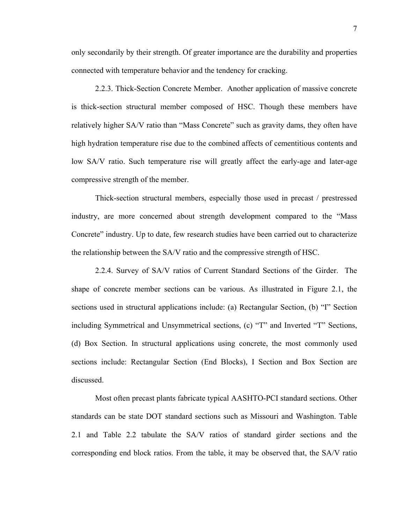only secondarily by their strength. Of greater importance are the durability and properties connected with temperature behavior and the tendency for cracking.

2.2.3. Thick-Section Concrete Member. Another application of massive concrete is thick-section structural member composed of HSC. Though these members have relatively higher SA/V ratio than "Mass Concrete" such as gravity dams, they often have high hydration temperature rise due to the combined affects of cementitious contents and low SA/V ratio. Such temperature rise will greatly affect the early-age and later-age compressive strength of the member.

Thick-section structural members, especially those used in precast / prestressed industry, are more concerned about strength development compared to the "Mass Concrete" industry. Up to date, few research studies have been carried out to characterize the relationship between the SA/V ratio and the compressive strength of HSC.

2.2.4. Survey of SA/V ratios of Current Standard Sections of the Girder. The shape of concrete member sections can be various. As illustrated in Figure 2.1, the sections used in structural applications include: (a) Rectangular Section, (b) "I" Section including Symmetrical and Unsymmetrical sections, (c) "T" and Inverted "T" Sections, (d) Box Section. In structural applications using concrete, the most commonly used sections include: Rectangular Section (End Blocks), I Section and Box Section are discussed.

Most often precast plants fabricate typical AASHTO-PCI standard sections. Other standards can be state DOT standard sections such as Missouri and Washington. Table 2.1 and Table 2.2 tabulate the SA/V ratios of standard girder sections and the corresponding end block ratios. From the table, it may be observed that, the SA/V ratio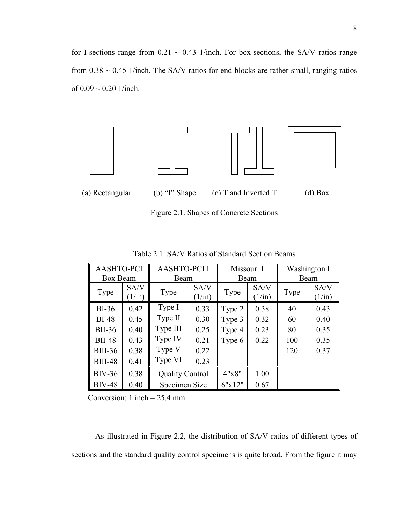for I-sections range from  $0.21 \sim 0.43$  1/inch. For box-sections, the SA/V ratios range from  $0.38 \sim 0.45$  1/inch. The SA/V ratios for end blocks are rather small, ranging ratios of  $0.09 \sim 0.20$  1/inch.



Figure 2.1. Shapes of Concrete Sections

| <b>AASHTO-PCI</b> |                         | <b>AASHTO-PCII</b>     |                | Missouri I |                | Washington I |                         |
|-------------------|-------------------------|------------------------|----------------|------------|----------------|--------------|-------------------------|
| Box Beam          |                         | Beam                   |                | Beam       |                | Beam         |                         |
| Type              | SA/V<br>$(1/\text{in})$ | Type                   | SA/V<br>(1/in) | Type       | SA/V<br>(1/in) | Type         | SA/V<br>$(1/\text{in})$ |
| $BI-36$           | 0.42                    | Type I                 | 0.33           | Type 2     | 0.38           | 40           | 0.43                    |
| <b>BI-48</b>      | 0.45                    | Type II                | 0.30           | Type 3     | 0.32           | 60           | 0.40                    |
| <b>BII-36</b>     | 0.40                    | Type III               | 0.25           | Type 4     | 0.23           | 80           | 0.35                    |
| <b>BII-48</b>     | 0.43                    | Type IV                | 0.21           | Type 6     | 0.22           | 100          | 0.35                    |
| <b>BIII-36</b>    | 0.38                    | Type V                 | 0.22           |            |                | 120          | 0.37                    |
| <b>BIII-48</b>    | 0.41                    | Type VI                | 0.23           |            |                |              |                         |
| <b>BIV-36</b>     | 0.38                    | <b>Quality Control</b> |                | 4"x8"      | 1.00           |              |                         |
| <b>BIV-48</b>     | 0.40                    | Specimen Size          |                | 6"x12"     | 0.67           |              |                         |

Table 2.1. SA/V Ratios of Standard Section Beams

Conversion: 1 inch =  $25.4$  mm

As illustrated in Figure 2.2, the distribution of SA/V ratios of different types of sections and the standard quality control specimens is quite broad. From the figure it may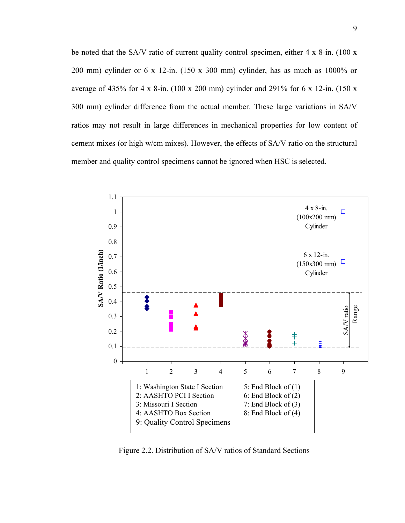be noted that the SA/V ratio of current quality control specimen, either 4 x 8-in. (100 x 200 mm) cylinder or 6 x 12-in. (150 x 300 mm) cylinder, has as much as 1000% or average of 435% for 4 x 8-in. (100 x 200 mm) cylinder and 291% for 6 x 12-in. (150 x 300 mm) cylinder difference from the actual member. These large variations in SA/V ratios may not result in large differences in mechanical properties for low content of cement mixes (or high w/cm mixes). However, the effects of SA/V ratio on the structural member and quality control specimens cannot be ignored when HSC is selected.



Figure 2.2. Distribution of SA/V ratios of Standard Sections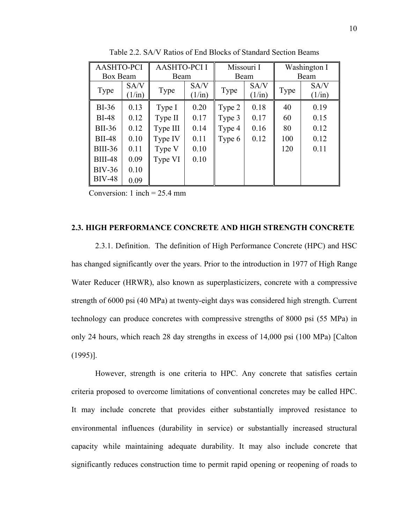| <b>AASHTO-PCI</b> |                 | <b>AASHTO-PCII</b> |                 | Missouri I |                 | Washington I |                 |
|-------------------|-----------------|--------------------|-----------------|------------|-----------------|--------------|-----------------|
| Box Beam          |                 | Beam               |                 | Beam       |                 | Beam         |                 |
| Type              | SA/V            | Type               | SA/V            | Type       | SA/V            | Type         | SA/V            |
|                   | $(1/\text{in})$ |                    | $(1/\text{in})$ |            | $(1/\text{in})$ |              | $(1/\text{in})$ |
| $BI-36$           | 0.13            | Type I             | 0.20            | Type 2     | 0.18            | 40           | 0.19            |
| $BI-48$           | 0.12            | Type II            | 0.17            | Type 3     | 0.17            | 60           | 0.15            |
| <b>BII-36</b>     | 0.12            | Type III           | 0.14            | Type 4     | 0.16            | 80           | 0.12            |
| <b>BII-48</b>     | 0.10            | Type IV            | 0.11            | Type 6     | 0.12            | 100          | 0.12            |
| <b>BIII-36</b>    | 0.11            | Type V             | 0.10            |            |                 | 120          | 0.11            |
| <b>BIII-48</b>    | 0.09            | Type VI            | 0.10            |            |                 |              |                 |
| <b>BIV-36</b>     | 0.10            |                    |                 |            |                 |              |                 |
| <b>BIV-48</b>     | 0.09            |                    |                 |            |                 |              |                 |

Table 2.2. SA/V Ratios of End Blocks of Standard Section Beams

Conversion: 1 inch  $= 25.4$  mm

#### **2.3. HIGH PERFORMANCE CONCRETE AND HIGH STRENGTH CONCRETE**

2.3.1. Definition. The definition of High Performance Concrete (HPC) and HSC has changed significantly over the years. Prior to the introduction in 1977 of High Range Water Reducer (HRWR), also known as superplasticizers, concrete with a compressive strength of 6000 psi (40 MPa) at twenty-eight days was considered high strength. Current technology can produce concretes with compressive strengths of 8000 psi (55 MPa) in only 24 hours, which reach 28 day strengths in excess of 14,000 psi (100 MPa) [Calton (1995)].

However, strength is one criteria to HPC. Any concrete that satisfies certain criteria proposed to overcome limitations of conventional concretes may be called HPC. It may include concrete that provides either substantially improved resistance to environmental influences (durability in service) or substantially increased structural capacity while maintaining adequate durability. It may also include concrete that significantly reduces construction time to permit rapid opening or reopening of roads to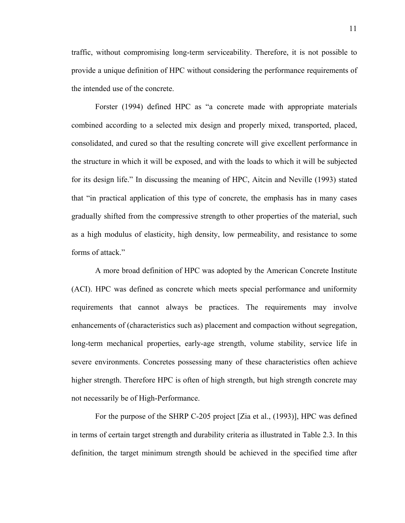traffic, without compromising long-term serviceability. Therefore, it is not possible to provide a unique definition of HPC without considering the performance requirements of the intended use of the concrete.

Forster (1994) defined HPC as "a concrete made with appropriate materials combined according to a selected mix design and properly mixed, transported, placed, consolidated, and cured so that the resulting concrete will give excellent performance in the structure in which it will be exposed, and with the loads to which it will be subjected for its design life." In discussing the meaning of HPC, Aitcin and Neville (1993) stated that "in practical application of this type of concrete, the emphasis has in many cases gradually shifted from the compressive strength to other properties of the material, such as a high modulus of elasticity, high density, low permeability, and resistance to some forms of attack."

A more broad definition of HPC was adopted by the American Concrete Institute (ACI). HPC was defined as concrete which meets special performance and uniformity requirements that cannot always be practices. The requirements may involve enhancements of (characteristics such as) placement and compaction without segregation, long-term mechanical properties, early-age strength, volume stability, service life in severe environments. Concretes possessing many of these characteristics often achieve higher strength. Therefore HPC is often of high strength, but high strength concrete may not necessarily be of High-Performance.

For the purpose of the SHRP C-205 project [Zia et al., (1993)], HPC was defined in terms of certain target strength and durability criteria as illustrated in Table 2.3. In this definition, the target minimum strength should be achieved in the specified time after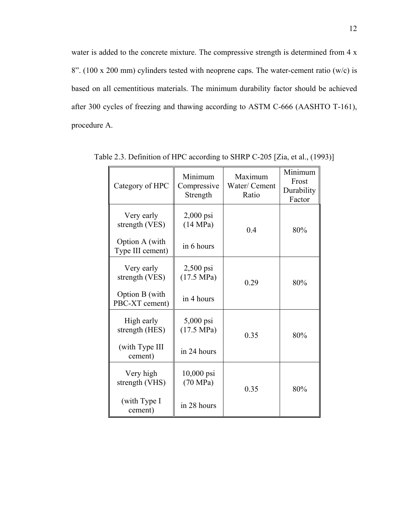water is added to the concrete mixture. The compressive strength is determined from 4 x 8". (100 x 200 mm) cylinders tested with neoprene caps. The water-cement ratio (w/c) is based on all cementitious materials. The minimum durability factor should be achieved after 300 cycles of freezing and thawing according to ASTM C-666 (AASHTO T-161), procedure A.

| Category of HPC                    | Minimum<br>Compressive<br>Strength  | Maximum<br>Water/ Cement<br>Ratio | Minimum<br>Frost<br>Durability<br>Factor |
|------------------------------------|-------------------------------------|-----------------------------------|------------------------------------------|
| Very early<br>strength (VES)       | $2,000$ psi<br>(14 MPa)<br>0.4      |                                   | 80%                                      |
| Option A (with<br>Type III cement) | in 6 hours                          |                                   |                                          |
| Very early<br>strength (VES)       | $2,500$ psi<br>$(17.5 \text{ MPa})$ | 0.29                              | 80%                                      |
| Option B (with<br>PBC-XT cement)   | in 4 hours                          |                                   |                                          |
| High early<br>strength (HES)       | 5,000 psi<br>$(17.5 \text{ MPa})$   | 0.35                              | 80%                                      |
| (with Type III<br>cement)          | in 24 hours                         |                                   |                                          |
| Very high<br>strength (VHS)        | 10,000 psi<br>(70 MPa)              | 0.35                              | 80%                                      |
| (with Type I<br>cement)            | in 28 hours                         |                                   |                                          |

Table 2.3. Definition of HPC according to SHRP C-205 [Zia, et al., (1993)]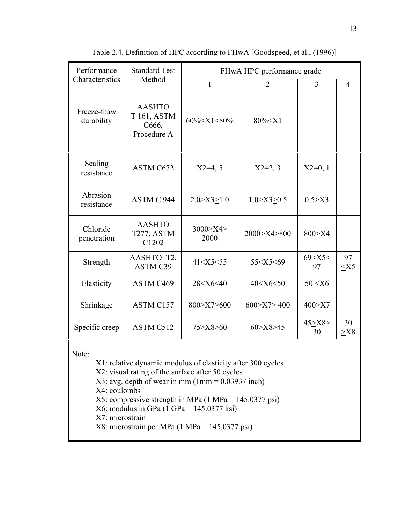| Performance               | <b>Standard Test</b>                                 | FHwA HPC performance grade                                                                                                    |                                                                                             |                        |                |  |
|---------------------------|------------------------------------------------------|-------------------------------------------------------------------------------------------------------------------------------|---------------------------------------------------------------------------------------------|------------------------|----------------|--|
| Characteristics           | Method                                               | 1                                                                                                                             | 2                                                                                           | 3                      | $\overline{4}$ |  |
| Freeze-thaw<br>durability | <b>AASHTO</b><br>T 161, ASTM<br>C666,<br>Procedure A | 60% <x1<80%< td=""><td>80% &lt; X1</td><td></td><td></td></x1<80%<>                                                           | 80% < X1                                                                                    |                        |                |  |
| Scaling<br>resistance     | ASTM C672                                            | $X2=4, 5$                                                                                                                     | $X2=2, 3$                                                                                   | $X2=0, 1$              |                |  |
| Abrasion<br>resistance    | ASTM C 944                                           | 2.0 > X3 > 1.0                                                                                                                | 1.0 > X3 > 0.5                                                                              | 0.5 > X3               |                |  |
| Chloride<br>penetration   | <b>AASHTO</b><br>T <sub>277</sub> , ASTM<br>C1202    | 3000 × X4 ><br>2000                                                                                                           | 2000>X4>800                                                                                 | 800>X4                 |                |  |
| Strength                  | AASHTO T2,<br><b>ASTM C39</b>                        | 41 <x5<55< td=""><td>55<x5<69< td=""><td>69<x5<<br>97</x5<<br></td><td>97<br/><math>&lt;</math>X5</td></x5<69<></td></x5<55<> | 55 <x5<69< td=""><td>69<x5<<br>97</x5<<br></td><td>97<br/><math>&lt;</math>X5</td></x5<69<> | 69 <x5<<br>97</x5<<br> | 97<br>$<$ X5   |  |
| Elasticity                | ASTM C469                                            | 28 <x6<40< td=""><td>40<x6<50< td=""><td><math>50 \le X6</math></td><td></td></x6<50<></td></x6<40<>                          | 40 <x6<50< td=""><td><math>50 \le X6</math></td><td></td></x6<50<>                          | $50 \le X6$            |                |  |
| Shrinkage                 | <b>ASTM C157</b>                                     | 800>X7>600                                                                                                                    | 600 > X7 > 400                                                                              | 400 > X7               |                |  |
| Specific creep            | ASTM C512                                            | 75>X8>60                                                                                                                      | 60 > X8 > 45                                                                                | 45 > X8<br>30          | 30<br>$>$ X8   |  |

Table 2.4. Definition of HPC according to FHwA [Goodspeed, et al., (1996)]

Note:

- X1: relative dynamic modulus of elasticity after 300 cycles
- X2: visual rating of the surface after 50 cycles
- $X3: avg. depth of wear in mm (1mm =  $0.03937$  inch)$
- X4: coulombs
- X5: compressive strength in MPa (1 MPa = 145.0377 psi)
- X6: modulus in GPa (1 GPa = 145.0377 ksi)
- X7: microstrain
- X8: microstrain per MPa (1 MPa = 145.0377 psi)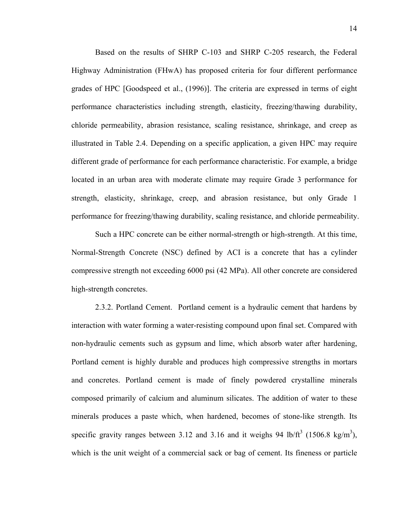Based on the results of SHRP C-103 and SHRP C-205 research, the Federal Highway Administration (FHwA) has proposed criteria for four different performance grades of HPC [Goodspeed et al., (1996)]. The criteria are expressed in terms of eight performance characteristics including strength, elasticity, freezing/thawing durability, chloride permeability, abrasion resistance, scaling resistance, shrinkage, and creep as illustrated in Table 2.4. Depending on a specific application, a given HPC may require different grade of performance for each performance characteristic. For example, a bridge located in an urban area with moderate climate may require Grade 3 performance for strength, elasticity, shrinkage, creep, and abrasion resistance, but only Grade 1 performance for freezing/thawing durability, scaling resistance, and chloride permeability.

Such a HPC concrete can be either normal-strength or high-strength. At this time, Normal-Strength Concrete (NSC) defined by ACI is a concrete that has a cylinder compressive strength not exceeding 6000 psi (42 MPa). All other concrete are considered high-strength concretes.

2.3.2. Portland Cement. Portland cement is a hydraulic cement that hardens by interaction with water forming a water-resisting compound upon final set. Compared with non-hydraulic cements such as gypsum and lime, which absorb water after hardening, Portland cement is highly durable and produces high compressive strengths in mortars and concretes. Portland cement is made of finely powdered crystalline minerals composed primarily of calcium and aluminum silicates. The addition of water to these minerals produces a paste which, when hardened, becomes of stone-like strength. Its specific gravity ranges between 3.12 and 3.16 and it weighs 94 lb/ $\text{ft}^3$  (1506.8 kg/m<sup>3</sup>), which is the unit weight of a commercial sack or bag of cement. Its fineness or particle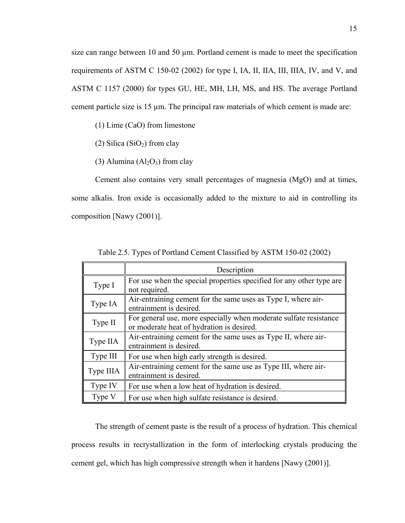size can range between 10 and 50 µm. Portland cement is made to meet the specification requirements of ASTM C 150-02 (2002) for type I, IA, II, IIA, III, IIIA, IV, and V, and ASTM C 1157 (2000) for types GU, HE, MH, LH, MS, and HS. The average Portland cement particle size is 15 µm. The principal raw materials of which cement is made are:

(1) Lime (CaO) from limestone

(2) Silica  $(SiO<sub>2</sub>)$  from clay

(3) Alumina  $(Al<sub>2</sub>O<sub>3</sub>)$  from clay

Cement also contains very small percentages of magnesia (MgO) and at times, some alkalis. Iron oxide is occasionally added to the mixture to aid in controlling its composition [Nawy (2001)].

|           | Description                                                                                                    |
|-----------|----------------------------------------------------------------------------------------------------------------|
| Type I    | For use when the special properties specified for any other type are<br>not required.                          |
| Type IA   | Air-entraining cement for the same uses as Type I, where air-<br>entrainment is desired.                       |
| Type II   | For general use, more especially when moderate sulfate resistance<br>or moderate heat of hydration is desired. |
| Type IIA  | Air-entraining cement for the same uses as Type II, where air-<br>entrainment is desired.                      |
| Type III  | For use when high early strength is desired.                                                                   |
| Type IIIA | Air-entraining cement for the same use as Type III, where air-<br>entrainment is desired.                      |
| Type IV   | For use when a low heat of hydration is desired.                                                               |
| Type V    | For use when high sulfate resistance is desired.                                                               |

Table 2.5. Types of Portland Cement Classified by ASTM 150-02 (2002)

The strength of cement paste is the result of a process of hydration. This chemical process results in recrystallization in the form of interlocking crystals producing the cement gel, which has high compressive strength when it hardens [Nawy (2001)].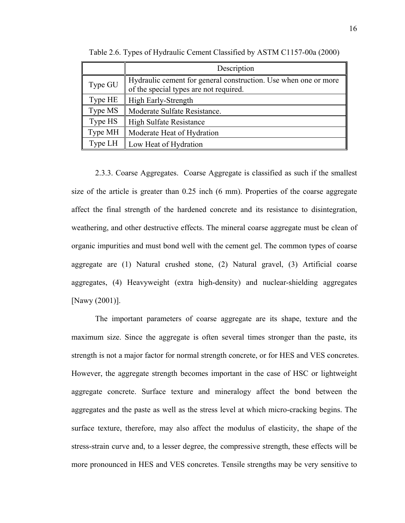|         | Description                                                                                               |  |  |  |
|---------|-----------------------------------------------------------------------------------------------------------|--|--|--|
| Type GU | Hydraulic cement for general construction. Use when one or more<br>of the special types are not required. |  |  |  |
| Type HE | High Early-Strength                                                                                       |  |  |  |
| Type MS | Moderate Sulfate Resistance.                                                                              |  |  |  |
| Type HS | <b>High Sulfate Resistance</b>                                                                            |  |  |  |
| Type MH | Moderate Heat of Hydration                                                                                |  |  |  |
| Type LH | Low Heat of Hydration                                                                                     |  |  |  |

Table 2.6. Types of Hydraulic Cement Classified by ASTM C1157-00a (2000)

2.3.3. Coarse Aggregates. Coarse Aggregate is classified as such if the smallest size of the article is greater than 0.25 inch (6 mm). Properties of the coarse aggregate affect the final strength of the hardened concrete and its resistance to disintegration, weathering, and other destructive effects. The mineral coarse aggregate must be clean of organic impurities and must bond well with the cement gel. The common types of coarse aggregate are (1) Natural crushed stone, (2) Natural gravel, (3) Artificial coarse aggregates, (4) Heavyweight (extra high-density) and nuclear-shielding aggregates [Nawy (2001)].

The important parameters of coarse aggregate are its shape, texture and the maximum size. Since the aggregate is often several times stronger than the paste, its strength is not a major factor for normal strength concrete, or for HES and VES concretes. However, the aggregate strength becomes important in the case of HSC or lightweight aggregate concrete. Surface texture and mineralogy affect the bond between the aggregates and the paste as well as the stress level at which micro-cracking begins. The surface texture, therefore, may also affect the modulus of elasticity, the shape of the stress-strain curve and, to a lesser degree, the compressive strength, these effects will be more pronounced in HES and VES concretes. Tensile strengths may be very sensitive to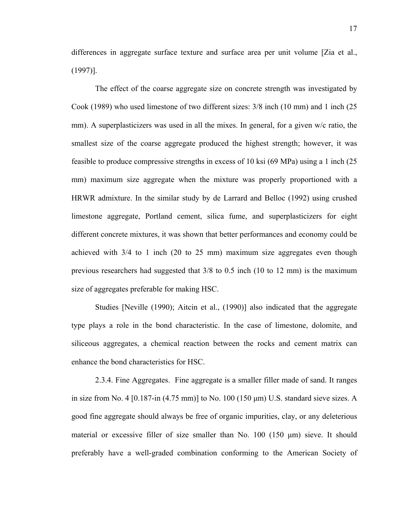differences in aggregate surface texture and surface area per unit volume [Zia et al., (1997)].

The effect of the coarse aggregate size on concrete strength was investigated by Cook (1989) who used limestone of two different sizes: 3/8 inch (10 mm) and 1 inch (25 mm). A superplasticizers was used in all the mixes. In general, for a given w/c ratio, the smallest size of the coarse aggregate produced the highest strength; however, it was feasible to produce compressive strengths in excess of 10 ksi (69 MPa) using a 1 inch (25 mm) maximum size aggregate when the mixture was properly proportioned with a HRWR admixture. In the similar study by de Larrard and Belloc (1992) using crushed limestone aggregate, Portland cement, silica fume, and superplasticizers for eight different concrete mixtures, it was shown that better performances and economy could be achieved with 3/4 to 1 inch (20 to 25 mm) maximum size aggregates even though previous researchers had suggested that 3/8 to 0.5 inch (10 to 12 mm) is the maximum size of aggregates preferable for making HSC.

Studies [Neville (1990); Aitcin et al., (1990)] also indicated that the aggregate type plays a role in the bond characteristic. In the case of limestone, dolomite, and siliceous aggregates, a chemical reaction between the rocks and cement matrix can enhance the bond characteristics for HSC.

2.3.4. Fine Aggregates. Fine aggregate is a smaller filler made of sand. It ranges in size from No. 4  $[0.187 \text{-} \text{in} (4.75 \text{ mm})]$  to No. 100  $(150 \mu \text{m})$  U.S. standard sieve sizes. A good fine aggregate should always be free of organic impurities, clay, or any deleterious material or excessive filler of size smaller than No. 100 (150 µm) sieve. It should preferably have a well-graded combination conforming to the American Society of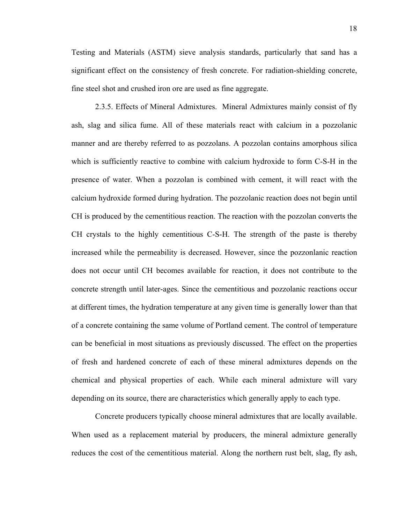Testing and Materials (ASTM) sieve analysis standards, particularly that sand has a significant effect on the consistency of fresh concrete. For radiation-shielding concrete, fine steel shot and crushed iron ore are used as fine aggregate.

2.3.5. Effects of Mineral Admixtures. Mineral Admixtures mainly consist of fly ash, slag and silica fume. All of these materials react with calcium in a pozzolanic manner and are thereby referred to as pozzolans. A pozzolan contains amorphous silica which is sufficiently reactive to combine with calcium hydroxide to form C-S-H in the presence of water. When a pozzolan is combined with cement, it will react with the calcium hydroxide formed during hydration. The pozzolanic reaction does not begin until CH is produced by the cementitious reaction. The reaction with the pozzolan converts the CH crystals to the highly cementitious C-S-H. The strength of the paste is thereby increased while the permeability is decreased. However, since the pozzonlanic reaction does not occur until CH becomes available for reaction, it does not contribute to the concrete strength until later-ages. Since the cementitious and pozzolanic reactions occur at different times, the hydration temperature at any given time is generally lower than that of a concrete containing the same volume of Portland cement. The control of temperature can be beneficial in most situations as previously discussed. The effect on the properties of fresh and hardened concrete of each of these mineral admixtures depends on the chemical and physical properties of each. While each mineral admixture will vary depending on its source, there are characteristics which generally apply to each type.

Concrete producers typically choose mineral admixtures that are locally available. When used as a replacement material by producers, the mineral admixture generally reduces the cost of the cementitious material. Along the northern rust belt, slag, fly ash,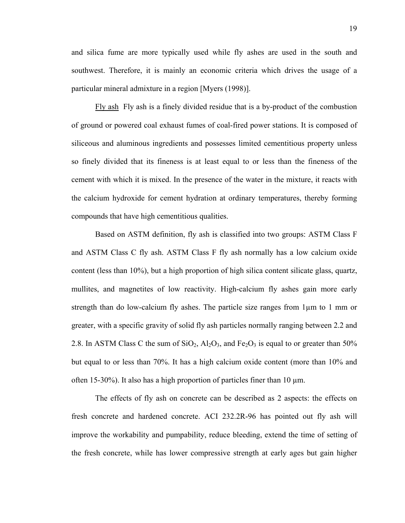and silica fume are more typically used while fly ashes are used in the south and southwest. Therefore, it is mainly an economic criteria which drives the usage of a particular mineral admixture in a region [Myers (1998)].

Fly ash Fly ash is a finely divided residue that is a by-product of the combustion of ground or powered coal exhaust fumes of coal-fired power stations. It is composed of siliceous and aluminous ingredients and possesses limited cementitious property unless so finely divided that its fineness is at least equal to or less than the fineness of the cement with which it is mixed. In the presence of the water in the mixture, it reacts with the calcium hydroxide for cement hydration at ordinary temperatures, thereby forming compounds that have high cementitious qualities.

Based on ASTM definition, fly ash is classified into two groups: ASTM Class F and ASTM Class C fly ash. ASTM Class F fly ash normally has a low calcium oxide content (less than 10%), but a high proportion of high silica content silicate glass, quartz, mullites, and magnetites of low reactivity. High-calcium fly ashes gain more early strength than do low-calcium fly ashes. The particle size ranges from  $1\mu$ m to 1 mm or greater, with a specific gravity of solid fly ash particles normally ranging between 2.2 and 2.8. In ASTM Class C the sum of  $SiO_2$ ,  $Al_2O_3$ , and  $Fe_2O_3$  is equal to or greater than 50% but equal to or less than 70%. It has a high calcium oxide content (more than 10% and often 15-30%). It also has a high proportion of particles finer than 10  $\mu$ m.

The effects of fly ash on concrete can be described as 2 aspects: the effects on fresh concrete and hardened concrete. ACI 232.2R-96 has pointed out fly ash will improve the workability and pumpability, reduce bleeding, extend the time of setting of the fresh concrete, while has lower compressive strength at early ages but gain higher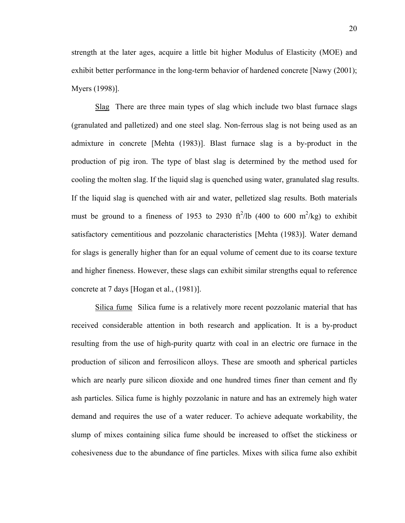strength at the later ages, acquire a little bit higher Modulus of Elasticity (MOE) and exhibit better performance in the long-term behavior of hardened concrete [Nawy (2001); Myers (1998)].

Slag There are three main types of slag which include two blast furnace slags (granulated and palletized) and one steel slag. Non-ferrous slag is not being used as an admixture in concrete [Mehta (1983)]. Blast furnace slag is a by-product in the production of pig iron. The type of blast slag is determined by the method used for cooling the molten slag. If the liquid slag is quenched using water, granulated slag results. If the liquid slag is quenched with air and water, pelletized slag results. Both materials must be ground to a fineness of 1953 to 2930 ft<sup>2</sup>/lb (400 to 600 m<sup>2</sup>/kg) to exhibit satisfactory cementitious and pozzolanic characteristics [Mehta (1983)]. Water demand for slags is generally higher than for an equal volume of cement due to its coarse texture and higher fineness. However, these slags can exhibit similar strengths equal to reference concrete at 7 days [Hogan et al., (1981)].

Silica fume Silica fume is a relatively more recent pozzolanic material that has received considerable attention in both research and application. It is a by-product resulting from the use of high-purity quartz with coal in an electric ore furnace in the production of silicon and ferrosilicon alloys. These are smooth and spherical particles which are nearly pure silicon dioxide and one hundred times finer than cement and fly ash particles. Silica fume is highly pozzolanic in nature and has an extremely high water demand and requires the use of a water reducer. To achieve adequate workability, the slump of mixes containing silica fume should be increased to offset the stickiness or cohesiveness due to the abundance of fine particles. Mixes with silica fume also exhibit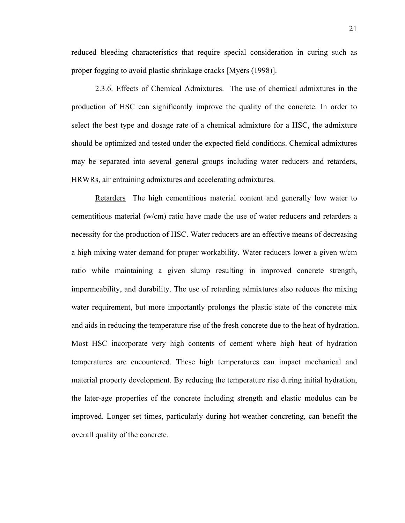reduced bleeding characteristics that require special consideration in curing such as proper fogging to avoid plastic shrinkage cracks [Myers (1998)].

2.3.6. Effects of Chemical Admixtures. The use of chemical admixtures in the production of HSC can significantly improve the quality of the concrete. In order to select the best type and dosage rate of a chemical admixture for a HSC, the admixture should be optimized and tested under the expected field conditions. Chemical admixtures may be separated into several general groups including water reducers and retarders, HRWRs, air entraining admixtures and accelerating admixtures.

Retarders The high cementitious material content and generally low water to cementitious material (w/cm) ratio have made the use of water reducers and retarders a necessity for the production of HSC. Water reducers are an effective means of decreasing a high mixing water demand for proper workability. Water reducers lower a given w/cm ratio while maintaining a given slump resulting in improved concrete strength, impermeability, and durability. The use of retarding admixtures also reduces the mixing water requirement, but more importantly prolongs the plastic state of the concrete mix and aids in reducing the temperature rise of the fresh concrete due to the heat of hydration. Most HSC incorporate very high contents of cement where high heat of hydration temperatures are encountered. These high temperatures can impact mechanical and material property development. By reducing the temperature rise during initial hydration, the later-age properties of the concrete including strength and elastic modulus can be improved. Longer set times, particularly during hot-weather concreting, can benefit the overall quality of the concrete.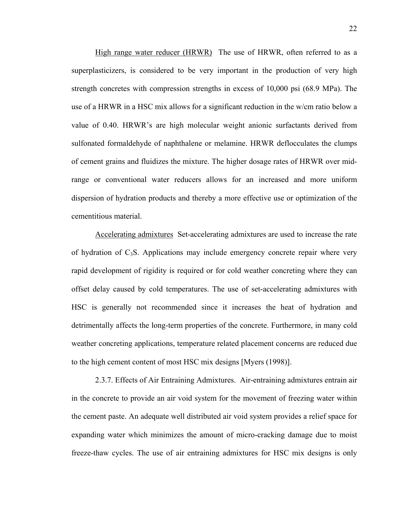High range water reducer (HRWR) The use of HRWR, often referred to as a superplasticizers, is considered to be very important in the production of very high strength concretes with compression strengths in excess of 10,000 psi (68.9 MPa). The use of a HRWR in a HSC mix allows for a significant reduction in the w/cm ratio below a value of 0.40. HRWR's are high molecular weight anionic surfactants derived from sulfonated formaldehyde of naphthalene or melamine. HRWR deflocculates the clumps of cement grains and fluidizes the mixture. The higher dosage rates of HRWR over midrange or conventional water reducers allows for an increased and more uniform dispersion of hydration products and thereby a more effective use or optimization of the cementitious material.

Accelerating admixtures Set-accelerating admixtures are used to increase the rate of hydration of  $C_3S$ . Applications may include emergency concrete repair where very rapid development of rigidity is required or for cold weather concreting where they can offset delay caused by cold temperatures. The use of set-accelerating admixtures with HSC is generally not recommended since it increases the heat of hydration and detrimentally affects the long-term properties of the concrete. Furthermore, in many cold weather concreting applications, temperature related placement concerns are reduced due to the high cement content of most HSC mix designs [Myers (1998)].

2.3.7. Effects of Air Entraining Admixtures. Air-entraining admixtures entrain air in the concrete to provide an air void system for the movement of freezing water within the cement paste. An adequate well distributed air void system provides a relief space for expanding water which minimizes the amount of micro-cracking damage due to moist freeze-thaw cycles. The use of air entraining admixtures for HSC mix designs is only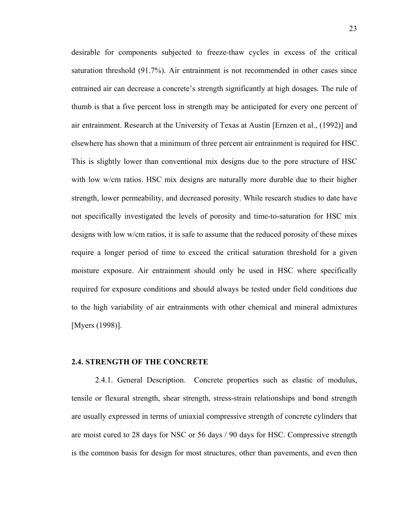desirable for components subjected to freeze-thaw cycles in excess of the critical saturation threshold (91.7%). Air entrainment is not recommended in other cases since entrained air can decrease a concrete's strength significantly at high dosages. The rule of thumb is that a five percent loss in strength may be anticipated for every one percent of air entrainment. Research at the University of Texas at Austin [Ernzen et al., (1992)] and elsewhere has shown that a minimum of three percent air entrainment is required for HSC. This is slightly lower than conventional mix designs due to the pore structure of HSC with low w/cm ratios. HSC mix designs are naturally more durable due to their higher strength, lower permeability, and decreased porosity. While research studies to date have not specifically investigated the levels of porosity and time-to-saturation for HSC mix designs with low w/cm ratios, it is safe to assume that the reduced porosity of these mixes require a longer period of time to exceed the critical saturation threshold for a given moisture exposure. Air entrainment should only be used in HSC where specifically required for exposure conditions and should always be tested under field conditions due to the high variability of air entrainments with other chemical and mineral admixtures [Myers (1998)].

#### **2.4. STRENGTH OF THE CONCRETE**

2.4.1. General Description. Concrete properties such as elastic of modulus, tensile or flexural strength, shear strength, stress-strain relationships and bond strength are usually expressed in terms of uniaxial compressive strength of concrete cylinders that are moist cured to 28 days for NSC or 56 days / 90 days for HSC. Compressive strength is the common basis for design for most structures, other than pavements, and even then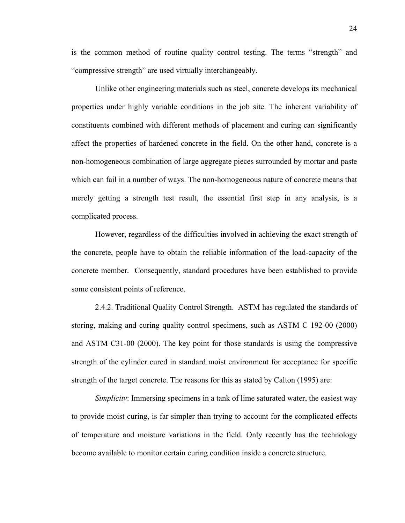is the common method of routine quality control testing. The terms "strength" and "compressive strength" are used virtually interchangeably.

Unlike other engineering materials such as steel, concrete develops its mechanical properties under highly variable conditions in the job site. The inherent variability of constituents combined with different methods of placement and curing can significantly affect the properties of hardened concrete in the field. On the other hand, concrete is a non-homogeneous combination of large aggregate pieces surrounded by mortar and paste which can fail in a number of ways. The non-homogeneous nature of concrete means that merely getting a strength test result, the essential first step in any analysis, is a complicated process.

However, regardless of the difficulties involved in achieving the exact strength of the concrete, people have to obtain the reliable information of the load-capacity of the concrete member. Consequently, standard procedures have been established to provide some consistent points of reference.

2.4.2. Traditional Quality Control Strength. ASTM has regulated the standards of storing, making and curing quality control specimens, such as ASTM C 192-00 (2000) and ASTM C31-00 (2000). The key point for those standards is using the compressive strength of the cylinder cured in standard moist environment for acceptance for specific strength of the target concrete. The reasons for this as stated by Calton (1995) are:

*Simplicity*: Immersing specimens in a tank of lime saturated water, the easiest way to provide moist curing, is far simpler than trying to account for the complicated effects of temperature and moisture variations in the field. Only recently has the technology become available to monitor certain curing condition inside a concrete structure.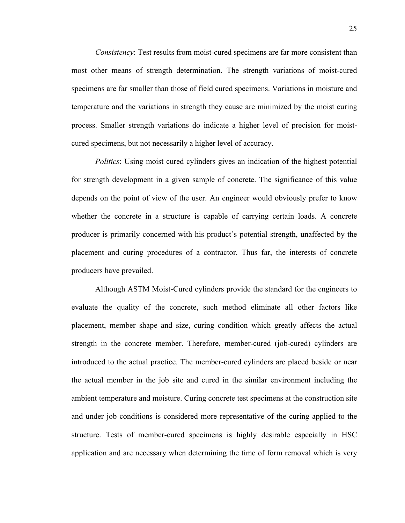*Consistency*: Test results from moist-cured specimens are far more consistent than most other means of strength determination. The strength variations of moist-cured specimens are far smaller than those of field cured specimens. Variations in moisture and temperature and the variations in strength they cause are minimized by the moist curing process. Smaller strength variations do indicate a higher level of precision for moistcured specimens, but not necessarily a higher level of accuracy.

*Politics*: Using moist cured cylinders gives an indication of the highest potential for strength development in a given sample of concrete. The significance of this value depends on the point of view of the user. An engineer would obviously prefer to know whether the concrete in a structure is capable of carrying certain loads. A concrete producer is primarily concerned with his product's potential strength, unaffected by the placement and curing procedures of a contractor. Thus far, the interests of concrete producers have prevailed.

Although ASTM Moist-Cured cylinders provide the standard for the engineers to evaluate the quality of the concrete, such method eliminate all other factors like placement, member shape and size, curing condition which greatly affects the actual strength in the concrete member. Therefore, member-cured (job-cured) cylinders are introduced to the actual practice. The member-cured cylinders are placed beside or near the actual member in the job site and cured in the similar environment including the ambient temperature and moisture. Curing concrete test specimens at the construction site and under job conditions is considered more representative of the curing applied to the structure. Tests of member-cured specimens is highly desirable especially in HSC application and are necessary when determining the time of form removal which is very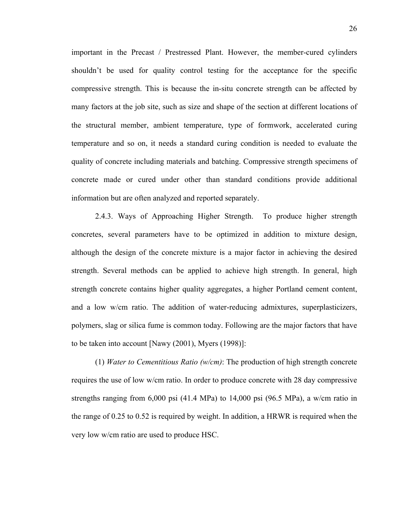important in the Precast / Prestressed Plant. However, the member-cured cylinders shouldn't be used for quality control testing for the acceptance for the specific compressive strength. This is because the in-situ concrete strength can be affected by many factors at the job site, such as size and shape of the section at different locations of the structural member, ambient temperature, type of formwork, accelerated curing temperature and so on, it needs a standard curing condition is needed to evaluate the quality of concrete including materials and batching. Compressive strength specimens of concrete made or cured under other than standard conditions provide additional information but are often analyzed and reported separately.

2.4.3. Ways of Approaching Higher Strength. To produce higher strength concretes, several parameters have to be optimized in addition to mixture design, although the design of the concrete mixture is a major factor in achieving the desired strength. Several methods can be applied to achieve high strength. In general, high strength concrete contains higher quality aggregates, a higher Portland cement content, and a low w/cm ratio. The addition of water-reducing admixtures, superplasticizers, polymers, slag or silica fume is common today. Following are the major factors that have to be taken into account [Nawy (2001), Myers (1998)]:

(1) *Water to Cementitious Ratio (w/cm)*: The production of high strength concrete requires the use of low w/cm ratio. In order to produce concrete with 28 day compressive strengths ranging from 6,000 psi (41.4 MPa) to 14,000 psi (96.5 MPa), a w/cm ratio in the range of 0.25 to 0.52 is required by weight. In addition, a HRWR is required when the very low w/cm ratio are used to produce HSC.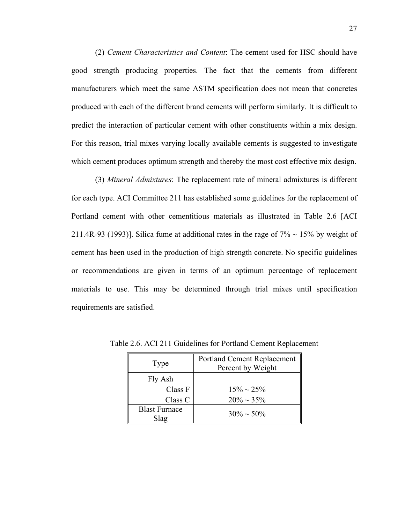(2) *Cement Characteristics and Content*: The cement used for HSC should have good strength producing properties. The fact that the cements from different manufacturers which meet the same ASTM specification does not mean that concretes produced with each of the different brand cements will perform similarly. It is difficult to predict the interaction of particular cement with other constituents within a mix design. For this reason, trial mixes varying locally available cements is suggested to investigate which cement produces optimum strength and thereby the most cost effective mix design.

(3) *Mineral Admixtures*: The replacement rate of mineral admixtures is different for each type. ACI Committee 211 has established some guidelines for the replacement of Portland cement with other cementitious materials as illustrated in Table 2.6 [ACI 211.4R-93 (1993)]. Silica fume at additional rates in the rage of  $7\% \sim 15\%$  by weight of cement has been used in the production of high strength concrete. No specific guidelines or recommendations are given in terms of an optimum percentage of replacement materials to use. This may be determined through trial mixes until specification requirements are satisfied.

| Type                 | <b>Portland Cement Replacement</b><br>Percent by Weight |  |
|----------------------|---------------------------------------------------------|--|
| Fly Ash              |                                                         |  |
| Class F              | $15\% \sim 25\%$                                        |  |
| Class C              | $20\% \sim 35\%$                                        |  |
| <b>Blast Furnace</b> | $30\% \sim 50\%$                                        |  |
| Slag                 |                                                         |  |

Table 2.6. ACI 211 Guidelines for Portland Cement Replacement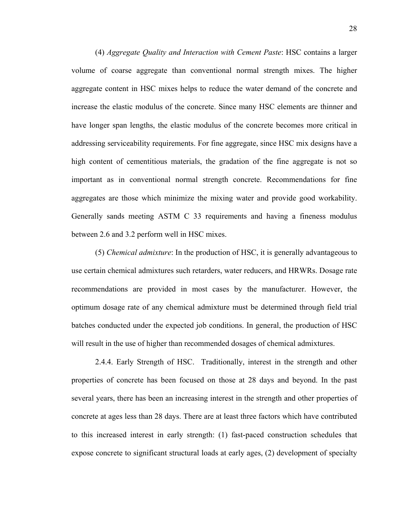(4) *Aggregate Quality and Interaction with Cement Paste*: HSC contains a larger volume of coarse aggregate than conventional normal strength mixes. The higher aggregate content in HSC mixes helps to reduce the water demand of the concrete and increase the elastic modulus of the concrete. Since many HSC elements are thinner and have longer span lengths, the elastic modulus of the concrete becomes more critical in addressing serviceability requirements. For fine aggregate, since HSC mix designs have a high content of cementitious materials, the gradation of the fine aggregate is not so important as in conventional normal strength concrete. Recommendations for fine aggregates are those which minimize the mixing water and provide good workability. Generally sands meeting ASTM C 33 requirements and having a fineness modulus between 2.6 and 3.2 perform well in HSC mixes.

(5) *Chemical admixture*: In the production of HSC, it is generally advantageous to use certain chemical admixtures such retarders, water reducers, and HRWRs. Dosage rate recommendations are provided in most cases by the manufacturer. However, the optimum dosage rate of any chemical admixture must be determined through field trial batches conducted under the expected job conditions. In general, the production of HSC will result in the use of higher than recommended dosages of chemical admixtures.

2.4.4. Early Strength of HSC. Traditionally, interest in the strength and other properties of concrete has been focused on those at 28 days and beyond. In the past several years, there has been an increasing interest in the strength and other properties of concrete at ages less than 28 days. There are at least three factors which have contributed to this increased interest in early strength: (1) fast-paced construction schedules that expose concrete to significant structural loads at early ages, (2) development of specialty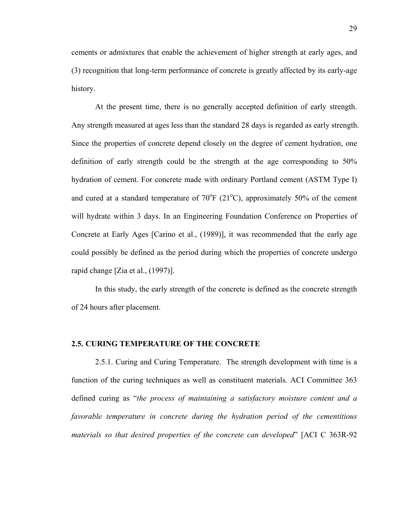cements or admixtures that enable the achievement of higher strength at early ages, and (3) recognition that long-term performance of concrete is greatly affected by its early-age history.

At the present time, there is no generally accepted definition of early strength. Any strength measured at ages less than the standard 28 days is regarded as early strength. Since the properties of concrete depend closely on the degree of cement hydration, one definition of early strength could be the strength at the age corresponding to 50% hydration of cement. For concrete made with ordinary Portland cement (ASTM Type I) and cured at a standard temperature of  $70^{\circ}F$  (21 $^{\circ}C$ ), approximately 50% of the cement will hydrate within 3 days. In an Engineering Foundation Conference on Properties of Concrete at Early Ages [Carino et al., (1989)], it was recommended that the early age could possibly be defined as the period during which the properties of concrete undergo rapid change [Zia et al., (1997)].

In this study, the early strength of the concrete is defined as the concrete strength of 24 hours after placement.

### **2.5. CURING TEMPERATURE OF THE CONCRETE**

2.5.1. Curing and Curing Temperature. The strength development with time is a function of the curing techniques as well as constituent materials. ACI Committee 363 defined curing as "*the process of maintaining a satisfactory moisture content and a favorable temperature in concrete during the hydration period of the cementitious materials so that desired properties of the concrete can developed*" [ACI C 363R-92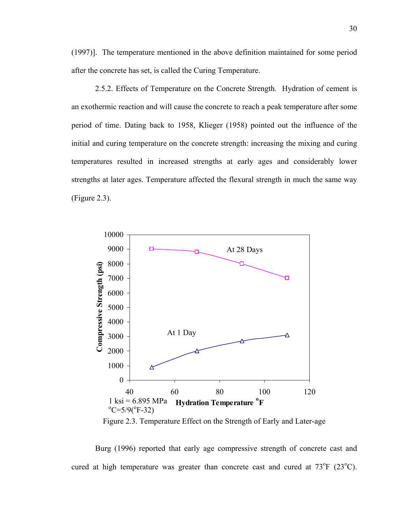(1997)]. The temperature mentioned in the above definition maintained for some period after the concrete has set, is called the Curing Temperature.

2.5.2. Effects of Temperature on the Concrete Strength. Hydration of cement is an exothermic reaction and will cause the concrete to reach a peak temperature after some period of time. Dating back to 1958, Klieger (1958) pointed out the influence of the initial and curing temperature on the concrete strength: increasing the mixing and curing temperatures resulted in increased strengths at early ages and considerably lower strengths at later ages. Temperature affected the flexural strength in much the same way (Figure 2.3).



Figure 2.3. Temperature Effect on the Strength of Early and Later-age

Burg (1996) reported that early age compressive strength of concrete cast and cured at high temperature was greater than concrete cast and cured at  $73^{\circ}F$  ( $23^{\circ}C$ ).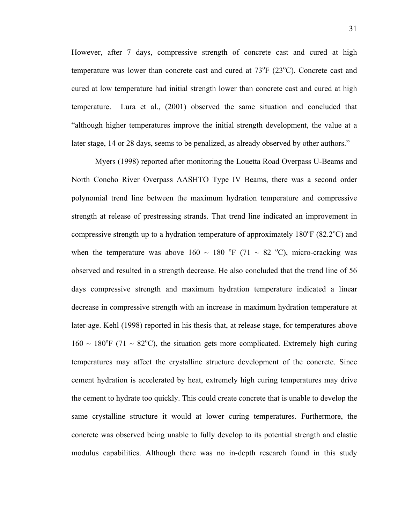However, after 7 days, compressive strength of concrete cast and cured at high temperature was lower than concrete cast and cured at  $73^{\circ}F$  ( $23^{\circ}C$ ). Concrete cast and cured at low temperature had initial strength lower than concrete cast and cured at high temperature. Lura et al., (2001) observed the same situation and concluded that "although higher temperatures improve the initial strength development, the value at a later stage, 14 or 28 days, seems to be penalized, as already observed by other authors."

Myers (1998) reported after monitoring the Louetta Road Overpass U-Beams and North Concho River Overpass AASHTO Type IV Beams, there was a second order polynomial trend line between the maximum hydration temperature and compressive strength at release of prestressing strands. That trend line indicated an improvement in compressive strength up to a hydration temperature of approximately  $180^{\circ}$ F (82.2 $^{\circ}$ C) and when the temperature was above  $160 \sim 180$  °F (71  $\sim 82$  °C), micro-cracking was observed and resulted in a strength decrease. He also concluded that the trend line of 56 days compressive strength and maximum hydration temperature indicated a linear decrease in compressive strength with an increase in maximum hydration temperature at later-age. Kehl (1998) reported in his thesis that, at release stage, for temperatures above  $160 \sim 180^{\circ}$ F (71 ~ 82°C), the situation gets more complicated. Extremely high curing temperatures may affect the crystalline structure development of the concrete. Since cement hydration is accelerated by heat, extremely high curing temperatures may drive the cement to hydrate too quickly. This could create concrete that is unable to develop the same crystalline structure it would at lower curing temperatures. Furthermore, the concrete was observed being unable to fully develop to its potential strength and elastic modulus capabilities. Although there was no in-depth research found in this study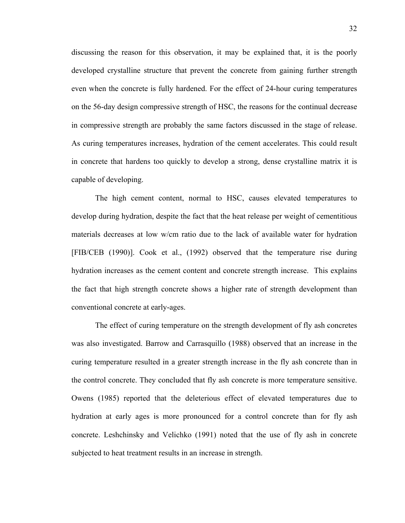discussing the reason for this observation, it may be explained that, it is the poorly developed crystalline structure that prevent the concrete from gaining further strength even when the concrete is fully hardened. For the effect of 24-hour curing temperatures on the 56-day design compressive strength of HSC, the reasons for the continual decrease in compressive strength are probably the same factors discussed in the stage of release. As curing temperatures increases, hydration of the cement accelerates. This could result in concrete that hardens too quickly to develop a strong, dense crystalline matrix it is capable of developing.

The high cement content, normal to HSC, causes elevated temperatures to develop during hydration, despite the fact that the heat release per weight of cementitious materials decreases at low w/cm ratio due to the lack of available water for hydration [FIB/CEB (1990)]. Cook et al., (1992) observed that the temperature rise during hydration increases as the cement content and concrete strength increase. This explains the fact that high strength concrete shows a higher rate of strength development than conventional concrete at early-ages.

The effect of curing temperature on the strength development of fly ash concretes was also investigated. Barrow and Carrasquillo (1988) observed that an increase in the curing temperature resulted in a greater strength increase in the fly ash concrete than in the control concrete. They concluded that fly ash concrete is more temperature sensitive. Owens (1985) reported that the deleterious effect of elevated temperatures due to hydration at early ages is more pronounced for a control concrete than for fly ash concrete. Leshchinsky and Velichko (1991) noted that the use of fly ash in concrete subjected to heat treatment results in an increase in strength.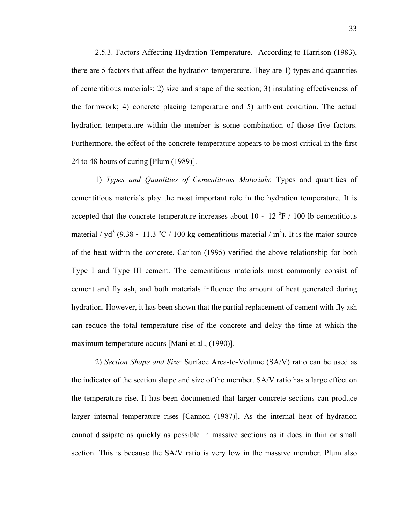2.5.3. Factors Affecting Hydration Temperature. According to Harrison (1983), there are 5 factors that affect the hydration temperature. They are 1) types and quantities of cementitious materials; 2) size and shape of the section; 3) insulating effectiveness of the formwork; 4) concrete placing temperature and 5) ambient condition. The actual hydration temperature within the member is some combination of those five factors. Furthermore, the effect of the concrete temperature appears to be most critical in the first 24 to 48 hours of curing [Plum (1989)].

1) *Types and Quantities of Cementitious Materials*: Types and quantities of cementitious materials play the most important role in the hydration temperature. It is accepted that the concrete temperature increases about  $10 \sim 12$  °F / 100 lb cementitious material /  $yd^3$  (9.38 ~ 11.3 °C / 100 kg cementitious material / m<sup>3</sup>). It is the major source of the heat within the concrete. Carlton (1995) verified the above relationship for both Type I and Type III cement. The cementitious materials most commonly consist of cement and fly ash, and both materials influence the amount of heat generated during hydration. However, it has been shown that the partial replacement of cement with fly ash can reduce the total temperature rise of the concrete and delay the time at which the maximum temperature occurs [Mani et al., (1990)].

2) *Section Shape and Size*: Surface Area-to-Volume (SA/V) ratio can be used as the indicator of the section shape and size of the member. SA/V ratio has a large effect on the temperature rise. It has been documented that larger concrete sections can produce larger internal temperature rises [Cannon (1987)]. As the internal heat of hydration cannot dissipate as quickly as possible in massive sections as it does in thin or small section. This is because the SA/V ratio is very low in the massive member. Plum also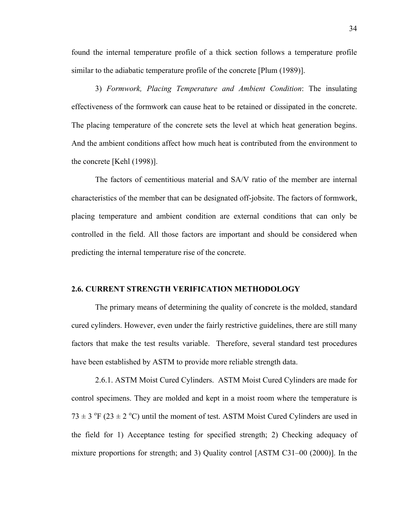found the internal temperature profile of a thick section follows a temperature profile similar to the adiabatic temperature profile of the concrete [Plum (1989)].

3) *Formwork, Placing Temperature and Ambient Condition*: The insulating effectiveness of the formwork can cause heat to be retained or dissipated in the concrete. The placing temperature of the concrete sets the level at which heat generation begins. And the ambient conditions affect how much heat is contributed from the environment to the concrete [Kehl (1998)].

The factors of cementitious material and SA/V ratio of the member are internal characteristics of the member that can be designated off-jobsite. The factors of formwork, placing temperature and ambient condition are external conditions that can only be controlled in the field. All those factors are important and should be considered when predicting the internal temperature rise of the concrete.

#### **2.6. CURRENT STRENGTH VERIFICATION METHODOLOGY**

The primary means of determining the quality of concrete is the molded, standard cured cylinders. However, even under the fairly restrictive guidelines, there are still many factors that make the test results variable. Therefore, several standard test procedures have been established by ASTM to provide more reliable strength data.

2.6.1. ASTM Moist Cured Cylinders. ASTM Moist Cured Cylinders are made for control specimens. They are molded and kept in a moist room where the temperature is  $73 \pm 3$  °F (23  $\pm$  2 °C) until the moment of test. ASTM Moist Cured Cylinders are used in the field for 1) Acceptance testing for specified strength; 2) Checking adequacy of mixture proportions for strength; and 3) Quality control [ASTM C31–00 (2000)]. In the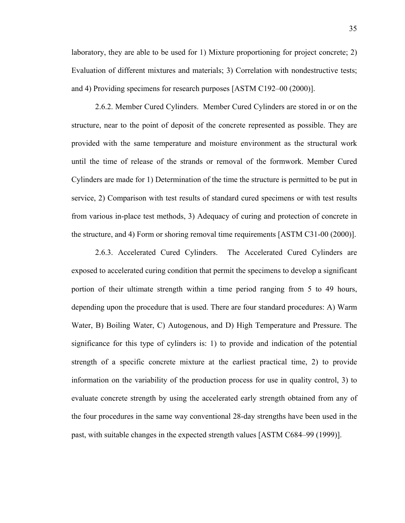laboratory, they are able to be used for 1) Mixture proportioning for project concrete; 2) Evaluation of different mixtures and materials; 3) Correlation with nondestructive tests; and 4) Providing specimens for research purposes [ASTM C192–00 (2000)].

2.6.2. Member Cured Cylinders. Member Cured Cylinders are stored in or on the structure, near to the point of deposit of the concrete represented as possible. They are provided with the same temperature and moisture environment as the structural work until the time of release of the strands or removal of the formwork. Member Cured Cylinders are made for 1) Determination of the time the structure is permitted to be put in service, 2) Comparison with test results of standard cured specimens or with test results from various in-place test methods, 3) Adequacy of curing and protection of concrete in the structure, and 4) Form or shoring removal time requirements [ASTM C31-00 (2000)].

2.6.3. Accelerated Cured Cylinders. The Accelerated Cured Cylinders are exposed to accelerated curing condition that permit the specimens to develop a significant portion of their ultimate strength within a time period ranging from 5 to 49 hours, depending upon the procedure that is used. There are four standard procedures: A) Warm Water, B) Boiling Water, C) Autogenous, and D) High Temperature and Pressure. The significance for this type of cylinders is: 1) to provide and indication of the potential strength of a specific concrete mixture at the earliest practical time, 2) to provide information on the variability of the production process for use in quality control, 3) to evaluate concrete strength by using the accelerated early strength obtained from any of the four procedures in the same way conventional 28-day strengths have been used in the past, with suitable changes in the expected strength values [ASTM C684–99 (1999)].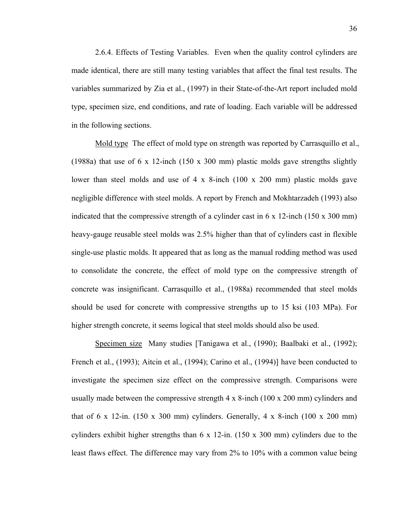2.6.4. Effects of Testing Variables. Even when the quality control cylinders are made identical, there are still many testing variables that affect the final test results. The variables summarized by Zia et al., (1997) in their State-of-the-Art report included mold type, specimen size, end conditions, and rate of loading. Each variable will be addressed in the following sections.

Mold type The effect of mold type on strength was reported by Carrasquillo et al., (1988a) that use of 6 x 12-inch (150 x 300 mm) plastic molds gave strengths slightly lower than steel molds and use of 4 x 8-inch (100 x 200 mm) plastic molds gave negligible difference with steel molds. A report by French and Mokhtarzadeh (1993) also indicated that the compressive strength of a cylinder cast in 6 x 12-inch (150 x 300 mm) heavy-gauge reusable steel molds was 2.5% higher than that of cylinders cast in flexible single-use plastic molds. It appeared that as long as the manual rodding method was used to consolidate the concrete, the effect of mold type on the compressive strength of concrete was insignificant. Carrasquillo et al., (1988a) recommended that steel molds should be used for concrete with compressive strengths up to 15 ksi (103 MPa). For higher strength concrete, it seems logical that steel molds should also be used.

Specimen size Many studies [Tanigawa et al., (1990); Baalbaki et al., (1992); French et al., (1993); Aitcin et al., (1994); Carino et al., (1994)] have been conducted to investigate the specimen size effect on the compressive strength. Comparisons were usually made between the compressive strength 4 x 8-inch (100 x 200 mm) cylinders and that of 6 x 12-in. (150 x 300 mm) cylinders. Generally, 4 x 8-inch (100 x 200 mm) cylinders exhibit higher strengths than 6 x 12-in. (150 x 300 mm) cylinders due to the least flaws effect. The difference may vary from 2% to 10% with a common value being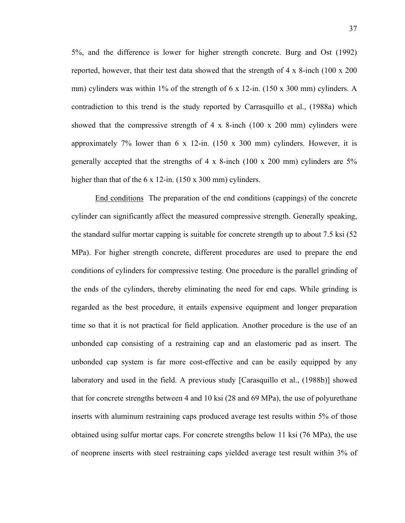5%, and the difference is lower for higher strength concrete. Burg and Ost (1992) reported, however, that their test data showed that the strength of 4 x 8-inch (100 x 200 mm) cylinders was within 1% of the strength of 6 x 12-in. (150 x 300 mm) cylinders. A contradiction to this trend is the study reported by Carrasquillo et al., (1988a) which showed that the compressive strength of  $4 \times 8$ -inch (100 x 200 mm) cylinders were approximately 7% lower than  $6 \times 12$ -in. (150 x 300 mm) cylinders. However, it is generally accepted that the strengths of 4 x 8-inch (100 x 200 mm) cylinders are 5% higher than that of the 6 x 12-in. (150 x 300 mm) cylinders.

End conditions The preparation of the end conditions (cappings) of the concrete cylinder can significantly affect the measured compressive strength. Generally speaking, the standard sulfur mortar capping is suitable for concrete strength up to about 7.5 ksi (52 MPa). For higher strength concrete, different procedures are used to prepare the end conditions of cylinders for compressive testing. One procedure is the parallel grinding of the ends of the cylinders, thereby eliminating the need for end caps. While grinding is regarded as the best procedure, it entails expensive equipment and longer preparation time so that it is not practical for field application. Another procedure is the use of an unbonded cap consisting of a restraining cap and an elastomeric pad as insert. The unbonded cap system is far more cost-effective and can be easily equipped by any laboratory and used in the field. A previous study [Carasquillo et al., (1988b)] showed that for concrete strengths between 4 and 10 ksi (28 and 69 MPa), the use of polyurethane inserts with aluminum restraining caps produced average test results within 5% of those obtained using sulfur mortar caps. For concrete strengths below 11 ksi (76 MPa), the use of neoprene inserts with steel restraining caps yielded average test result within 3% of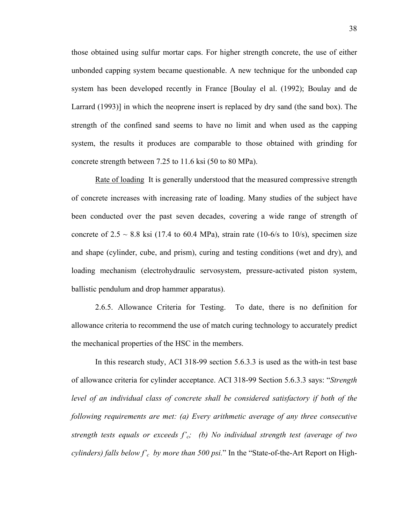those obtained using sulfur mortar caps. For higher strength concrete, the use of either unbonded capping system became questionable. A new technique for the unbonded cap system has been developed recently in France [Boulay el al. (1992); Boulay and de Larrard (1993)] in which the neoprene insert is replaced by dry sand (the sand box). The strength of the confined sand seems to have no limit and when used as the capping system, the results it produces are comparable to those obtained with grinding for concrete strength between 7.25 to 11.6 ksi (50 to 80 MPa).

Rate of loading It is generally understood that the measured compressive strength of concrete increases with increasing rate of loading. Many studies of the subject have been conducted over the past seven decades, covering a wide range of strength of concrete of  $2.5 \sim 8.8$  ksi (17.4 to 60.4 MPa), strain rate (10-6/s to 10/s), specimen size and shape (cylinder, cube, and prism), curing and testing conditions (wet and dry), and loading mechanism (electrohydraulic servosystem, pressure-activated piston system, ballistic pendulum and drop hammer apparatus).

2.6.5. Allowance Criteria for Testing. To date, there is no definition for allowance criteria to recommend the use of match curing technology to accurately predict the mechanical properties of the HSC in the members.

In this research study, ACI 318-99 section 5.6.3.3 is used as the with-in test base of allowance criteria for cylinder acceptance. ACI 318-99 Section 5.6.3.3 says: "*Strength*  level of an individual class of concrete shall be considered satisfactory if both of the *following requirements are met: (a) Every arithmetic average of any three consecutive strength tests equals or exceeds f'c; (b) No individual strength test (average of two cylinders) falls below f'c by more than 500 psi.*" In the "State-of-the-Art Report on High-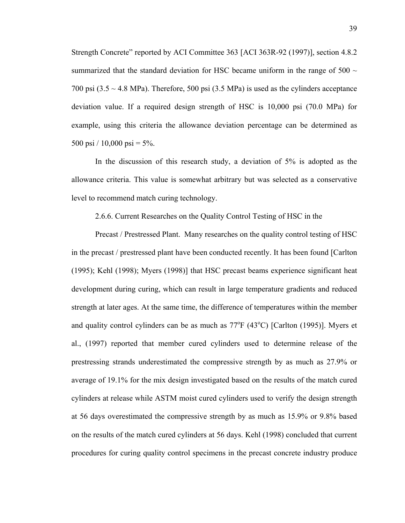Strength Concrete" reported by ACI Committee 363 [ACI 363R-92 (1997)], section 4.8.2 summarized that the standard deviation for HSC became uniform in the range of  $500 \sim$ 700 psi  $(3.5 \sim 4.8 \text{ MPa})$ . Therefore, 500 psi  $(3.5 \text{ MPa})$  is used as the cylinders acceptance deviation value. If a required design strength of HSC is 10,000 psi (70.0 MPa) for example, using this criteria the allowance deviation percentage can be determined as 500 psi  $/ 10,000$  psi = 5%.

In the discussion of this research study, a deviation of 5% is adopted as the allowance criteria. This value is somewhat arbitrary but was selected as a conservative level to recommend match curing technology.

2.6.6. Current Researches on the Quality Control Testing of HSC in the

Precast / Prestressed Plant. Many researches on the quality control testing of HSC in the precast / prestressed plant have been conducted recently. It has been found [Carlton (1995); Kehl (1998); Myers (1998)] that HSC precast beams experience significant heat development during curing, which can result in large temperature gradients and reduced strength at later ages. At the same time, the difference of temperatures within the member and quality control cylinders can be as much as  $77^{\circ}F(43^{\circ}C)$  [Carlton (1995)]. Myers et al., (1997) reported that member cured cylinders used to determine release of the prestressing strands underestimated the compressive strength by as much as 27.9% or average of 19.1% for the mix design investigated based on the results of the match cured cylinders at release while ASTM moist cured cylinders used to verify the design strength at 56 days overestimated the compressive strength by as much as 15.9% or 9.8% based on the results of the match cured cylinders at 56 days. Kehl (1998) concluded that current procedures for curing quality control specimens in the precast concrete industry produce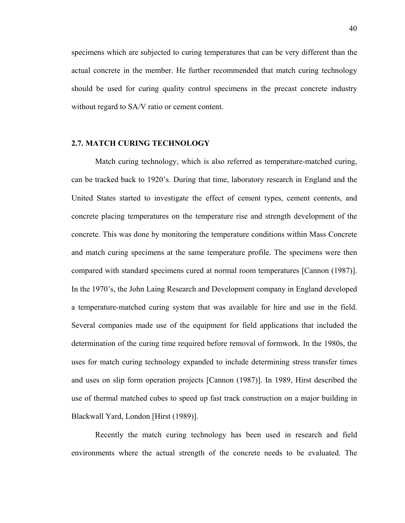specimens which are subjected to curing temperatures that can be very different than the actual concrete in the member. He further recommended that match curing technology should be used for curing quality control specimens in the precast concrete industry without regard to SA/V ratio or cement content.

#### **2.7. MATCH CURING TECHNOLOGY**

Match curing technology, which is also referred as temperature-matched curing, can be tracked back to 1920's. During that time, laboratory research in England and the United States started to investigate the effect of cement types, cement contents, and concrete placing temperatures on the temperature rise and strength development of the concrete. This was done by monitoring the temperature conditions within Mass Concrete and match curing specimens at the same temperature profile. The specimens were then compared with standard specimens cured at normal room temperatures [Cannon (1987)]. In the 1970's, the John Laing Research and Development company in England developed a temperature-matched curing system that was available for hire and use in the field. Several companies made use of the equipment for field applications that included the determination of the curing time required before removal of formwork. In the 1980s, the uses for match curing technology expanded to include determining stress transfer times and uses on slip form operation projects [Cannon (1987)]. In 1989, Hirst described the use of thermal matched cubes to speed up fast track construction on a major building in Blackwall Yard, London [Hirst (1989)].

Recently the match curing technology has been used in research and field environments where the actual strength of the concrete needs to be evaluated. The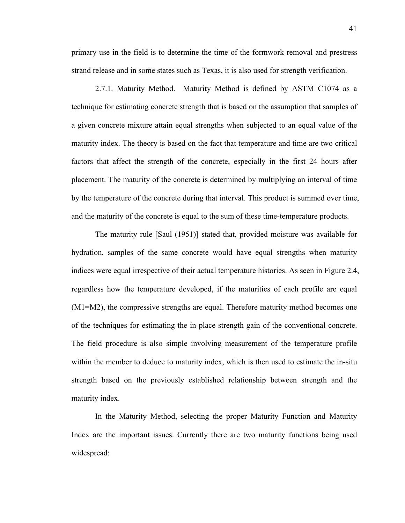primary use in the field is to determine the time of the formwork removal and prestress strand release and in some states such as Texas, it is also used for strength verification.

2.7.1. Maturity Method. Maturity Method is defined by ASTM C1074 as a technique for estimating concrete strength that is based on the assumption that samples of a given concrete mixture attain equal strengths when subjected to an equal value of the maturity index. The theory is based on the fact that temperature and time are two critical factors that affect the strength of the concrete, especially in the first 24 hours after placement. The maturity of the concrete is determined by multiplying an interval of time by the temperature of the concrete during that interval. This product is summed over time, and the maturity of the concrete is equal to the sum of these time-temperature products.

The maturity rule [Saul (1951)] stated that, provided moisture was available for hydration, samples of the same concrete would have equal strengths when maturity indices were equal irrespective of their actual temperature histories. As seen in Figure 2.4, regardless how the temperature developed, if the maturities of each profile are equal (M1=M2), the compressive strengths are equal. Therefore maturity method becomes one of the techniques for estimating the in-place strength gain of the conventional concrete. The field procedure is also simple involving measurement of the temperature profile within the member to deduce to maturity index, which is then used to estimate the in-situ strength based on the previously established relationship between strength and the maturity index.

In the Maturity Method, selecting the proper Maturity Function and Maturity Index are the important issues. Currently there are two maturity functions being used widespread: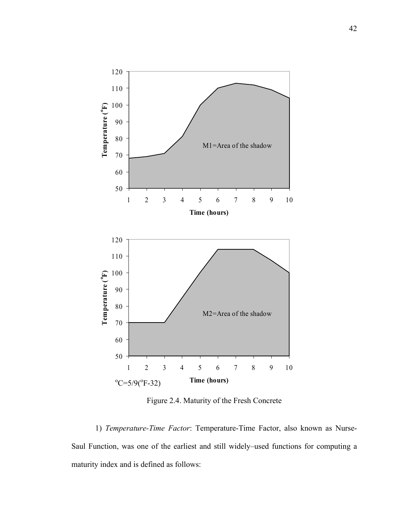

Figure 2.4. Maturity of the Fresh Concrete

1) *Temperature-Time Factor*: Temperature-Time Factor, also known as Nurse-Saul Function, was one of the earliest and still widely–used functions for computing a maturity index and is defined as follows: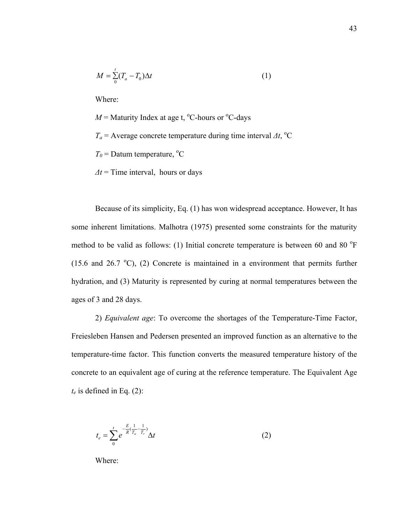$$
M = \sum_{0}^{t} (T_a - T_0) \Delta t \tag{1}
$$

Where:

 $M =$  Maturity Index at age t, <sup>o</sup>C-hours or <sup>o</sup>C-days  $T_a$  = Average concrete temperature during time interval  $\Delta t$ , <sup>o</sup>C  $T_0$  = Datum temperature, <sup>o</sup>C

*∆t* = Time interval, hours or days

Because of its simplicity, Eq. (1) has won widespread acceptance. However, It has some inherent limitations. Malhotra (1975) presented some constraints for the maturity method to be valid as follows: (1) Initial concrete temperature is between 60 and 80 $^{\circ}$ F (15.6 and 26.7  $^{\circ}$ C), (2) Concrete is maintained in a environment that permits further hydration, and (3) Maturity is represented by curing at normal temperatures between the ages of 3 and 28 days.

2) *Equivalent age*: To overcome the shortages of the Temperature-Time Factor, Freiesleben Hansen and Pedersen presented an improved function as an alternative to the temperature-time factor. This function converts the measured temperature history of the concrete to an equivalent age of curing at the reference temperature. The Equivalent Age  $t_e$  is defined in Eq. (2):

$$
t_e = \sum_{0}^{t} e^{-\frac{E}{R}(\frac{1}{T_a} - \frac{1}{T_r})} \Delta t
$$
 (2)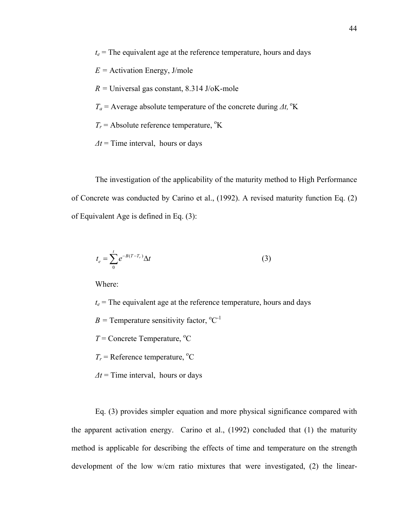$t_e$  = The equivalent age at the reference temperature, hours and days

- *E =* Activation Energy, J/mole
- *R =* Universal gas constant, 8.314 J/oK-mole
- $T_a$  = Average absolute temperature of the concrete during  $\Delta t$ , <sup>o</sup>K
- $T_r$  = Absolute reference temperature, <sup>o</sup>K
- *∆t* = Time interval, hours or days

The investigation of the applicability of the maturity method to High Performance of Concrete was conducted by Carino et al., (1992). A revised maturity function Eq. (2) of Equivalent Age is defined in Eq. (3):

$$
t_e = \sum_{0}^{t} e^{-B(T-T_r)} \Delta t \tag{3}
$$

Where:

 $t_e$  = The equivalent age at the reference temperature, hours and days

 $B =$  Temperature sensitivity factor,  $^{\circ}C^{-1}$ 

 $T =$  Concrete Temperature,  $^{\circ}$ C

 $T_r$  = Reference temperature, <sup>o</sup>C

*∆t* = Time interval, hours or days

Eq. (3) provides simpler equation and more physical significance compared with the apparent activation energy. Carino et al., (1992) concluded that (1) the maturity method is applicable for describing the effects of time and temperature on the strength development of the low w/cm ratio mixtures that were investigated, (2) the linear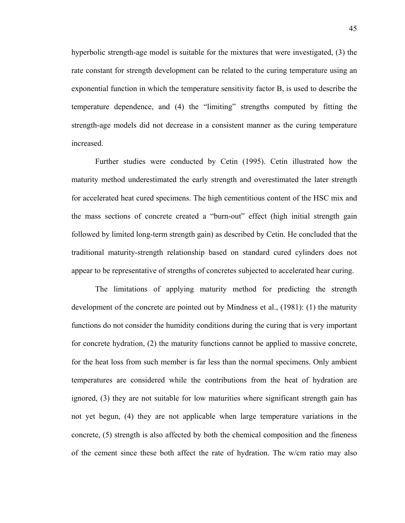hyperbolic strength-age model is suitable for the mixtures that were investigated, (3) the rate constant for strength development can be related to the curing temperature using an exponential function in which the temperature sensitivity factor B, is used to describe the temperature dependence, and (4) the "limiting" strengths computed by fitting the strength-age models did not decrease in a consistent manner as the curing temperature increased.

Further studies were conducted by Cetin (1995). Cetin illustrated how the maturity method underestimated the early strength and overestimated the later strength for accelerated heat cured specimens. The high cementitious content of the HSC mix and the mass sections of concrete created a "burn-out" effect (high initial strength gain followed by limited long-term strength gain) as described by Cetin. He concluded that the traditional maturity-strength relationship based on standard cured cylinders does not appear to be representative of strengths of concretes subjected to accelerated hear curing.

The limitations of applying maturity method for predicting the strength development of the concrete are pointed out by Mindness et al., (1981): (1) the maturity functions do not consider the humidity conditions during the curing that is very important for concrete hydration, (2) the maturity functions cannot be applied to massive concrete, for the heat loss from such member is far less than the normal specimens. Only ambient temperatures are considered while the contributions from the heat of hydration are ignored, (3) they are not suitable for low maturities where significant strength gain has not yet begun, (4) they are not applicable when large temperature variations in the concrete, (5) strength is also affected by both the chemical composition and the fineness of the cement since these both affect the rate of hydration. The w/cm ratio may also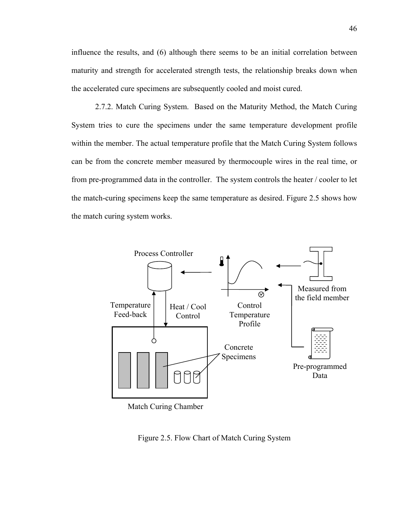influence the results, and (6) although there seems to be an initial correlation between maturity and strength for accelerated strength tests, the relationship breaks down when the accelerated cure specimens are subsequently cooled and moist cured.

2.7.2. Match Curing System. Based on the Maturity Method, the Match Curing System tries to cure the specimens under the same temperature development profile within the member. The actual temperature profile that the Match Curing System follows can be from the concrete member measured by thermocouple wires in the real time, or from pre-programmed data in the controller. The system controls the heater / cooler to let the match-curing specimens keep the same temperature as desired. Figure 2.5 shows how the match curing system works.



Match Curing Chamber

Figure 2.5. Flow Chart of Match Curing System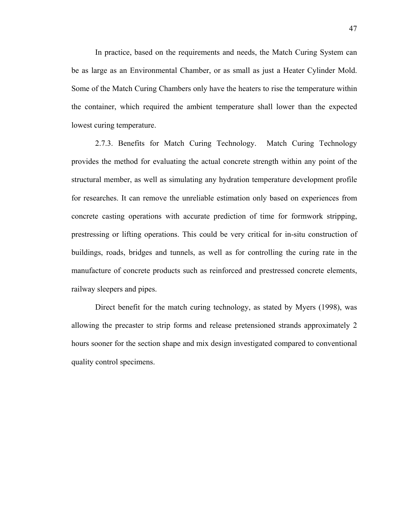In practice, based on the requirements and needs, the Match Curing System can be as large as an Environmental Chamber, or as small as just a Heater Cylinder Mold. Some of the Match Curing Chambers only have the heaters to rise the temperature within the container, which required the ambient temperature shall lower than the expected lowest curing temperature.

2.7.3. Benefits for Match Curing Technology. Match Curing Technology provides the method for evaluating the actual concrete strength within any point of the structural member, as well as simulating any hydration temperature development profile for researches. It can remove the unreliable estimation only based on experiences from concrete casting operations with accurate prediction of time for formwork stripping, prestressing or lifting operations. This could be very critical for in-situ construction of buildings, roads, bridges and tunnels, as well as for controlling the curing rate in the manufacture of concrete products such as reinforced and prestressed concrete elements, railway sleepers and pipes.

Direct benefit for the match curing technology, as stated by Myers (1998), was allowing the precaster to strip forms and release pretensioned strands approximately 2 hours sooner for the section shape and mix design investigated compared to conventional quality control specimens.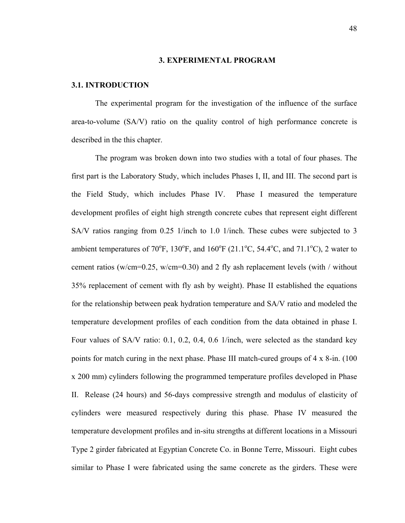#### **3. EXPERIMENTAL PROGRAM**

## **3.1. INTRODUCTION**

The experimental program for the investigation of the influence of the surface area-to-volume (SA/V) ratio on the quality control of high performance concrete is described in the this chapter.

The program was broken down into two studies with a total of four phases. The first part is the Laboratory Study, which includes Phases I, II, and III. The second part is the Field Study, which includes Phase IV. Phase I measured the temperature development profiles of eight high strength concrete cubes that represent eight different SA/V ratios ranging from 0.25 1/inch to 1.0 1/inch. These cubes were subjected to 3 ambient temperatures of 70°F, 130°F, and 160°F (21.1°C, 54.4°C, and 71.1°C), 2 water to cement ratios (w/cm=0.25, w/cm=0.30) and 2 fly ash replacement levels (with / without 35% replacement of cement with fly ash by weight). Phase II established the equations for the relationship between peak hydration temperature and SA/V ratio and modeled the temperature development profiles of each condition from the data obtained in phase I. Four values of SA/V ratio: 0.1, 0.2, 0.4, 0.6 1/inch, were selected as the standard key points for match curing in the next phase. Phase III match-cured groups of 4 x 8-in. (100 x 200 mm) cylinders following the programmed temperature profiles developed in Phase II. Release (24 hours) and 56-days compressive strength and modulus of elasticity of cylinders were measured respectively during this phase. Phase IV measured the temperature development profiles and in-situ strengths at different locations in a Missouri Type 2 girder fabricated at Egyptian Concrete Co. in Bonne Terre, Missouri. Eight cubes similar to Phase I were fabricated using the same concrete as the girders. These were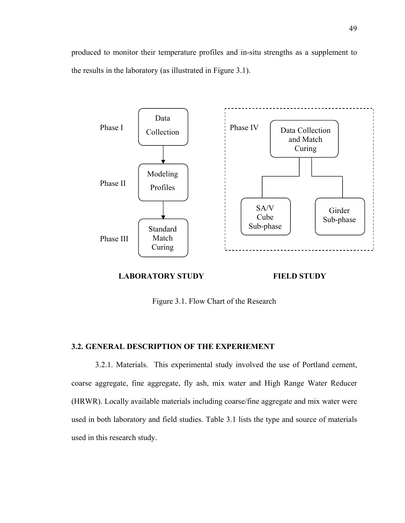produced to monitor their temperature profiles and in-situ strengths as a supplement to the results in the laboratory (as illustrated in Figure 3.1).



## **LABORATORY STUDY**

**FIELD STUDY** 

Figure 3.1. Flow Chart of the Research

# **3.2. GENERAL DESCRIPTION OF THE EXPERIEMENT**

3.2.1. Materials. This experimental study involved the use of Portland cement, coarse aggregate, fine aggregate, fly ash, mix water and High Range Water Reducer (HRWR). Locally available materials including coarse/fine aggregate and mix water were used in both laboratory and field studies. Table 3.1 lists the type and source of materials used in this research study.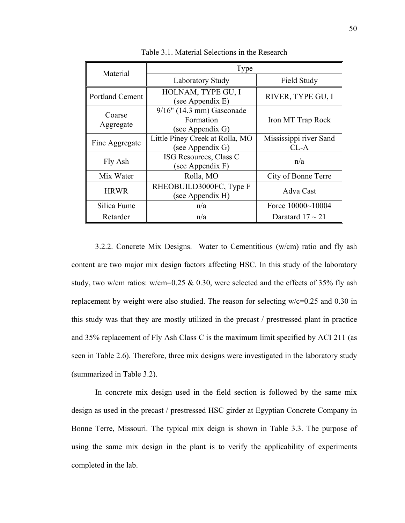| Material               | Type                                                          |                                  |  |  |
|------------------------|---------------------------------------------------------------|----------------------------------|--|--|
|                        | <b>Laboratory Study</b>                                       | Field Study                      |  |  |
| <b>Portland Cement</b> | HOLNAM, TYPE GU, I<br>(see Appendix E)                        | RIVER, TYPE GU, I                |  |  |
| Coarse<br>Aggregate    | $9/16$ " (14.3 mm) Gasconade<br>Formation<br>(see Appendix G) | Iron MT Trap Rock                |  |  |
| Fine Aggregate         | Little Piney Creek at Rolla, MO<br>(see Appendix G)           | Mississippi river Sand<br>$CL-A$ |  |  |
| Fly Ash                | ISG Resources, Class C<br>(see Appendix F)                    | n/a                              |  |  |
| Mix Water              | Rolla, MO                                                     | City of Bonne Terre              |  |  |
| <b>HRWR</b>            | RHEOBUILD3000FC, Type F<br>(see Appendix H)                   | Adva Cast                        |  |  |
| Silica Fume            | n/a                                                           | Force 10000~10004                |  |  |
| Retarder               | n/a                                                           | Daratard $17 \sim 21$            |  |  |

Table 3.1. Material Selections in the Research

3.2.2. Concrete Mix Designs. Water to Cementitious (w/cm) ratio and fly ash content are two major mix design factors affecting HSC. In this study of the laboratory study, two w/cm ratios: w/cm=0.25  $& 0.30$ , were selected and the effects of 35% fly ash replacement by weight were also studied. The reason for selecting w/c=0.25 and 0.30 in this study was that they are mostly utilized in the precast / prestressed plant in practice and 35% replacement of Fly Ash Class C is the maximum limit specified by ACI 211 (as seen in Table 2.6). Therefore, three mix designs were investigated in the laboratory study (summarized in Table 3.2).

In concrete mix design used in the field section is followed by the same mix design as used in the precast / prestressed HSC girder at Egyptian Concrete Company in Bonne Terre, Missouri. The typical mix deign is shown in Table 3.3. The purpose of using the same mix design in the plant is to verify the applicability of experiments completed in the lab.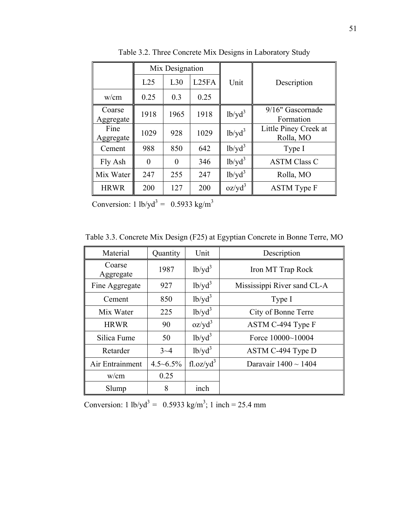|                     |          | Mix Designation |                    |                       |                                    |
|---------------------|----------|-----------------|--------------------|-----------------------|------------------------------------|
|                     | L25      | L30             | L <sub>25</sub> FA | Unit                  | Description                        |
| w/cm                | 0.25     | 0.3             | 0.25               |                       |                                    |
| Coarse<br>Aggregate | 1918     | 1965            | 1918               | $1b$ /yd <sup>3</sup> | 9/16" Gascornade<br>Formation      |
| Fine<br>Aggregate   | 1029     | 928             | 1029               | $1b/yd^3$             | Little Piney Creek at<br>Rolla, MO |
| Cement              | 988      | 850             | 642                | $1b$ /yd <sup>3</sup> | Type I                             |
| Fly Ash             | $\theta$ | $\theta$        | 346                | $1b$ /yd <sup>3</sup> | <b>ASTM Class C</b>                |
| Mix Water           | 247      | 255             | 247                | $1b$ /yd <sup>3</sup> | Rolla, MO                          |
| <b>HRWR</b>         | 200      | 127             | 200                | $oz/yd^3$             | <b>ASTM</b> Type F                 |

Table 3.2. Three Concrete Mix Designs in Laboratory Study

Conversion: 1 lb/yd<sup>3</sup> = 0.5933 kg/m<sup>3</sup>

Table 3.3. Concrete Mix Design (F25) at Egyptian Concrete in Bonne Terre, MO

| Material            | Quantity         | Unit                   | Description                 |
|---------------------|------------------|------------------------|-----------------------------|
| Coarse<br>Aggregate | 1987             | $1b$ /yd <sup>3</sup>  | Iron MT Trap Rock           |
| Fine Aggregate      | 927              | $1b$ /yd <sup>3</sup>  | Mississippi River sand CL-A |
| Cement              | 850              | $1b$ /yd <sup>3</sup>  | Type I                      |
| Mix Water           | 225              | $1b$ /yd <sup>3</sup>  | City of Bonne Terre         |
| <b>HRWR</b>         | 90               | $oz/yd^3$              | ASTM C-494 Type F           |
| Silica Fume         | 50               | $1b$ /yd <sup>3</sup>  | Force $10000~10004$         |
| Retarder            | $3 - 4$          | $1b$ /yd <sup>3</sup>  | ASTM C-494 Type D           |
| Air Entrainment     | $4.5 \sim 6.5\%$ | fl. oz/yd <sup>3</sup> | Daravair $1400 \sim 1404$   |
| w/cm                | 0.25             |                        |                             |
| Slump               | 8                | inch                   |                             |

Conversion: 1 lb/yd<sup>3</sup> = 0.5933 kg/m<sup>3</sup>; 1 inch = 25.4 mm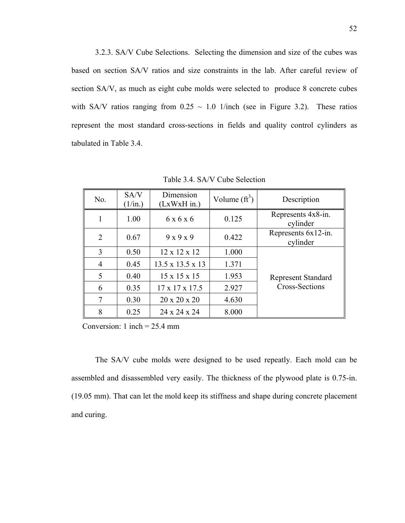3.2.3. SA/V Cube Selections. Selecting the dimension and size of the cubes was based on section SA/V ratios and size constraints in the lab. After careful review of section SA/V, as much as eight cube molds were selected to produce 8 concrete cubes with SA/V ratios ranging from  $0.25 \sim 1.0$  1/inch (see in Figure 3.2). These ratios represent the most standard cross-sections in fields and quality control cylinders as tabulated in Table 3.4.

| No.            | SA/V<br>$(1/\text{in.})$ | Dimension<br>$(LxWxH$ in.) | Volume $(\text{ft}^3)$ | Description                     |  |
|----------------|--------------------------|----------------------------|------------------------|---------------------------------|--|
|                | 1.00                     | 6 x 6 x 6                  | 0.125                  | Represents 4x8-in.<br>cylinder  |  |
| $\overline{2}$ | 0.67                     | $9 \times 9 \times 9$      | 0.422                  | Represents 6x12-in.<br>cylinder |  |
| 3              | 0.50                     | $12 \times 12 \times 12$   | 1.000                  |                                 |  |
| 4              | 0.45                     | 13.5 x 13.5 x 13           | 1.371                  |                                 |  |
| 5              | 0.40                     | $15 \times 15 \times 15$   | 1.953                  | <b>Represent Standard</b>       |  |
| 6              | 0.35                     | $17 \times 17 \times 17.5$ | 2.927                  | <b>Cross-Sections</b>           |  |
| 7              | 0.30                     | $20 \times 20 \times 20$   | 4.630                  |                                 |  |
| 8              | 0.25                     | 24 x 24 x 24               | 8.000                  |                                 |  |

Table 3.4. SA/V Cube Selection

Conversion: 1 inch =  $25.4$  mm

The SA/V cube molds were designed to be used repeatly. Each mold can be assembled and disassembled very easily. The thickness of the plywood plate is 0.75-in. (19.05 mm). That can let the mold keep its stiffness and shape during concrete placement and curing.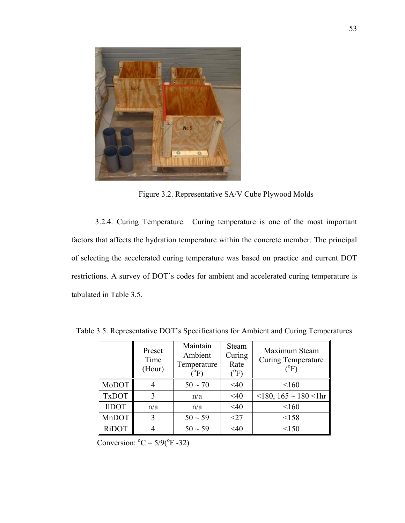

Figure 3.2. Representative SA/V Cube Plywood Molds

3.2.4. Curing Temperature. Curing temperature is one of the most important factors that affects the hydration temperature within the concrete member. The principal of selecting the accelerated curing temperature was based on practice and current DOT restrictions. A survey of DOT's codes for ambient and accelerated curing temperature is tabulated in Table 3.5.

|              | Preset<br>Time<br>(Hour) | Maintain<br>Ambient<br>Temperature<br>$\mathrm{^oF}$ | <b>Steam</b><br>Curing<br>Rate<br>$\rm ^{(o}F)$ | Maximum Steam<br><b>Curing Temperature</b><br>$(^{0}F)$ |
|--------------|--------------------------|------------------------------------------------------|-------------------------------------------------|---------------------------------------------------------|
| MoDOT        |                          | $50 \sim 70$                                         | $<$ 40                                          | < 160                                                   |
| <b>TxDOT</b> | 3                        | n/a                                                  | $<$ 40                                          | $\leq$ 180, 165 $\sim$ 180 $\leq$ 1hr                   |
| <b>IIDOT</b> | n/a                      | n/a                                                  | <40                                             | < 160                                                   |
| MnDOT        | 3                        | $50 \sim 59$                                         | $<$ 27                                          | <158                                                    |
| <b>RiDOT</b> |                          | $50 \sim 59$                                         | $<$ 40                                          | < 150                                                   |

Table 3.5. Representative DOT's Specifications for Ambient and Curing Temperatures

Conversion:  $^{\circ}C = 5/9(^{\circ}F - 32)$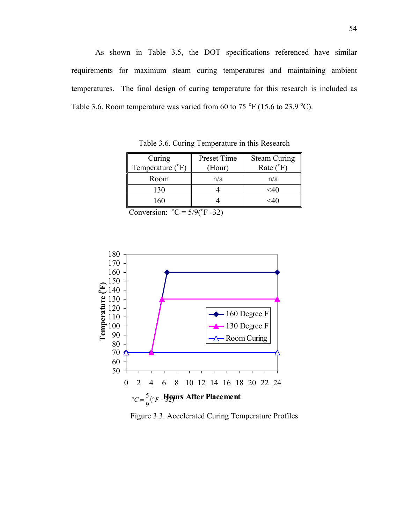As shown in Table 3.5, the DOT specifications referenced have similar requirements for maximum steam curing temperatures and maintaining ambient temperatures. The final design of curing temperature for this research is included as Table 3.6. Room temperature was varied from 60 to 75  $\mathrm{^oF}$  (15.6 to 23.9  $\mathrm{^oC}$ ).

| Curing<br>Temperature $(^{\circ}F)$ | Preset Time<br>(Hour) | <b>Steam Curing</b><br>Rate $(^{\circ}F)$ |
|-------------------------------------|-----------------------|-------------------------------------------|
| Room                                | n/a                   | n/a                                       |
| 130                                 |                       | $<$ 40                                    |
| 160                                 |                       | $<$ 40                                    |

Table 3.6. Curing Temperature in this Research

Conversion:  $^{\circ}C = 5/9(^{\circ}F - 32)$ 



Figure 3.3. Accelerated Curing Temperature Profiles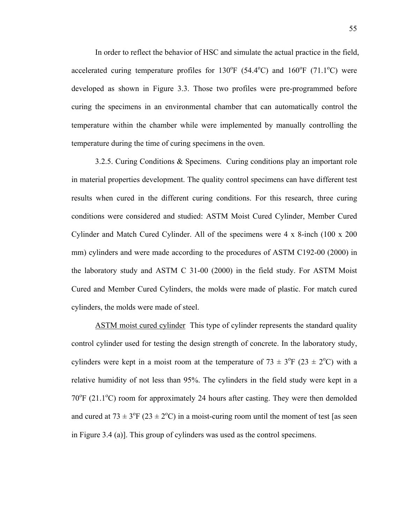In order to reflect the behavior of HSC and simulate the actual practice in the field, accelerated curing temperature profiles for  $130^{\circ}F (54.4^{\circ}C)$  and  $160^{\circ}F (71.1^{\circ}C)$  were developed as shown in Figure 3.3. Those two profiles were pre-programmed before curing the specimens in an environmental chamber that can automatically control the temperature within the chamber while were implemented by manually controlling the temperature during the time of curing specimens in the oven.

3.2.5. Curing Conditions & Specimens. Curing conditions play an important role in material properties development. The quality control specimens can have different test results when cured in the different curing conditions. For this research, three curing conditions were considered and studied: ASTM Moist Cured Cylinder, Member Cured Cylinder and Match Cured Cylinder. All of the specimens were 4 x 8-inch (100 x 200 mm) cylinders and were made according to the procedures of ASTM C192-00 (2000) in the laboratory study and ASTM C 31-00 (2000) in the field study. For ASTM Moist Cured and Member Cured Cylinders, the molds were made of plastic. For match cured cylinders, the molds were made of steel.

ASTM moist cured cylinder This type of cylinder represents the standard quality control cylinder used for testing the design strength of concrete. In the laboratory study, cylinders were kept in a moist room at the temperature of  $73 \pm 3$ °F (23  $\pm 2$ °C) with a relative humidity of not less than 95%. The cylinders in the field study were kept in a  $70^{\circ}$ F (21.1 $^{\circ}$ C) room for approximately 24 hours after casting. They were then demolded and cured at  $73 \pm 3$ <sup>o</sup>F ( $23 \pm 2$ <sup>o</sup>C) in a moist-curing room until the moment of test [as seen in Figure 3.4 (a)]. This group of cylinders was used as the control specimens.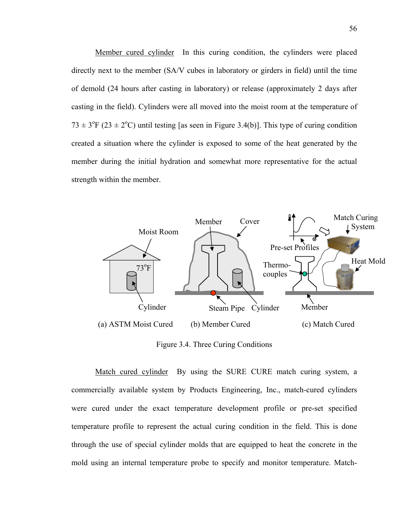Member cured cylinder In this curing condition, the cylinders were placed directly next to the member (SA/V cubes in laboratory or girders in field) until the time of demold (24 hours after casting in laboratory) or release (approximately 2 days after casting in the field). Cylinders were all moved into the moist room at the temperature of  $73 \pm 3$ <sup>o</sup>F (23  $\pm$  2<sup>o</sup>C) until testing [as seen in Figure 3.4(b)]. This type of curing condition created a situation where the cylinder is exposed to some of the heat generated by the member during the initial hydration and somewhat more representative for the actual strength within the member.



Figure 3.4. Three Curing Conditions

Match cured cylinder By using the SURE CURE match curing system, a commercially available system by Products Engineering, Inc., match-cured cylinders were cured under the exact temperature development profile or pre-set specified temperature profile to represent the actual curing condition in the field. This is done through the use of special cylinder molds that are equipped to heat the concrete in the mold using an internal temperature probe to specify and monitor temperature. Match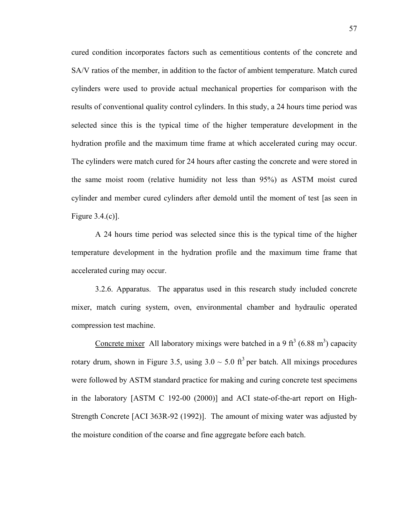cured condition incorporates factors such as cementitious contents of the concrete and SA/V ratios of the member, in addition to the factor of ambient temperature. Match cured cylinders were used to provide actual mechanical properties for comparison with the results of conventional quality control cylinders. In this study, a 24 hours time period was selected since this is the typical time of the higher temperature development in the hydration profile and the maximum time frame at which accelerated curing may occur. The cylinders were match cured for 24 hours after casting the concrete and were stored in the same moist room (relative humidity not less than 95%) as ASTM moist cured cylinder and member cured cylinders after demold until the moment of test [as seen in Figure 3.4.(c)].

A 24 hours time period was selected since this is the typical time of the higher temperature development in the hydration profile and the maximum time frame that accelerated curing may occur.

3.2.6. Apparatus. The apparatus used in this research study included concrete mixer, match curing system, oven, environmental chamber and hydraulic operated compression test machine.

Concrete mixer All laboratory mixings were batched in a 9 ft<sup>3</sup> (6.88 m<sup>3</sup>) capacity rotary drum, shown in Figure 3.5, using  $3.0 \sim 5.0$  ft<sup>3</sup> per batch. All mixings procedures were followed by ASTM standard practice for making and curing concrete test specimens in the laboratory [ASTM C 192-00 (2000)] and ACI state-of-the-art report on High-Strength Concrete [ACI 363R-92 (1992)]. The amount of mixing water was adjusted by the moisture condition of the coarse and fine aggregate before each batch.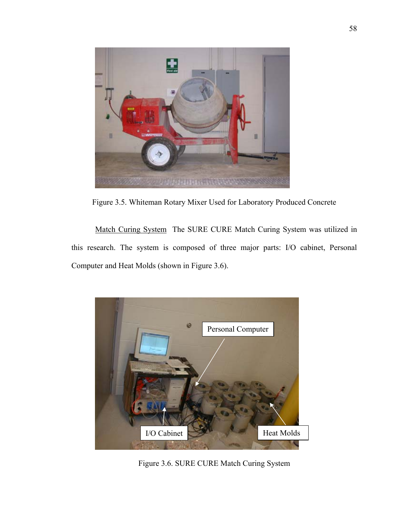

Figure 3.5. Whiteman Rotary Mixer Used for Laboratory Produced Concrete

Match Curing System The SURE CURE Match Curing System was utilized in this research. The system is composed of three major parts: I/O cabinet, Personal Computer and Heat Molds (shown in Figure 3.6).



Figure 3.6. SURE CURE Match Curing System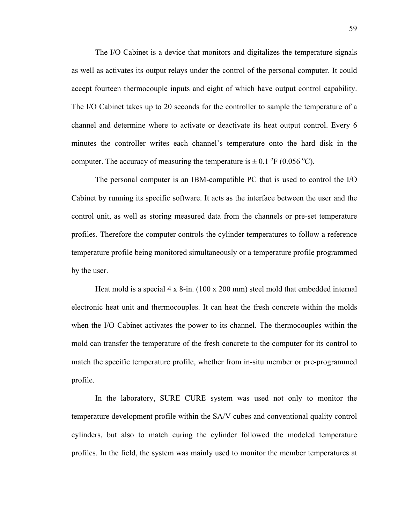The I/O Cabinet is a device that monitors and digitalizes the temperature signals as well as activates its output relays under the control of the personal computer. It could accept fourteen thermocouple inputs and eight of which have output control capability. The I/O Cabinet takes up to 20 seconds for the controller to sample the temperature of a channel and determine where to activate or deactivate its heat output control. Every 6 minutes the controller writes each channel's temperature onto the hard disk in the computer. The accuracy of measuring the temperature is  $\pm$  0.1 °F (0.056 °C).

The personal computer is an IBM-compatible PC that is used to control the I/O Cabinet by running its specific software. It acts as the interface between the user and the control unit, as well as storing measured data from the channels or pre-set temperature profiles. Therefore the computer controls the cylinder temperatures to follow a reference temperature profile being monitored simultaneously or a temperature profile programmed by the user.

Heat mold is a special 4 x 8-in. (100 x 200 mm) steel mold that embedded internal electronic heat unit and thermocouples. It can heat the fresh concrete within the molds when the I/O Cabinet activates the power to its channel. The thermocouples within the mold can transfer the temperature of the fresh concrete to the computer for its control to match the specific temperature profile, whether from in-situ member or pre-programmed profile.

In the laboratory, SURE CURE system was used not only to monitor the temperature development profile within the SA/V cubes and conventional quality control cylinders, but also to match curing the cylinder followed the modeled temperature profiles. In the field, the system was mainly used to monitor the member temperatures at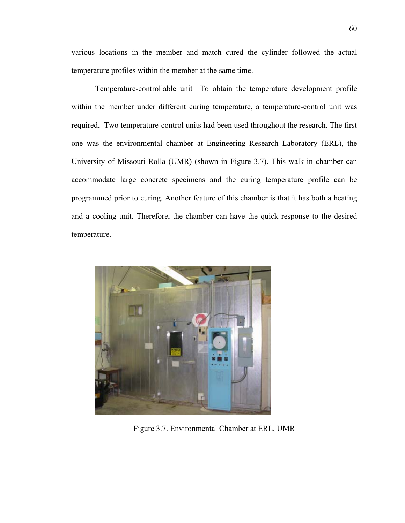various locations in the member and match cured the cylinder followed the actual temperature profiles within the member at the same time.

Temperature-controllable unit To obtain the temperature development profile within the member under different curing temperature, a temperature-control unit was required. Two temperature-control units had been used throughout the research. The first one was the environmental chamber at Engineering Research Laboratory (ERL), the University of Missouri-Rolla (UMR) (shown in Figure 3.7). This walk-in chamber can accommodate large concrete specimens and the curing temperature profile can be programmed prior to curing. Another feature of this chamber is that it has both a heating and a cooling unit. Therefore, the chamber can have the quick response to the desired temperature.



Figure 3.7. Environmental Chamber at ERL, UMR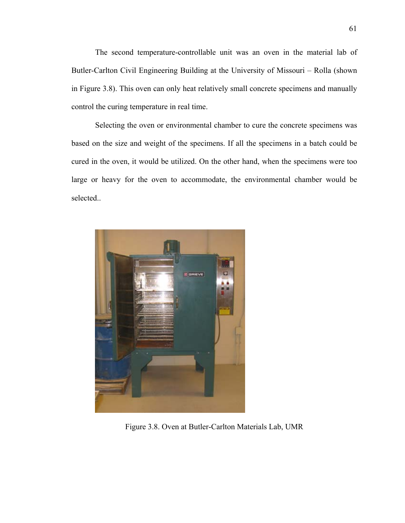The second temperature-controllable unit was an oven in the material lab of Butler-Carlton Civil Engineering Building at the University of Missouri – Rolla (shown in Figure 3.8). This oven can only heat relatively small concrete specimens and manually control the curing temperature in real time.

Selecting the oven or environmental chamber to cure the concrete specimens was based on the size and weight of the specimens. If all the specimens in a batch could be cured in the oven, it would be utilized. On the other hand, when the specimens were too large or heavy for the oven to accommodate, the environmental chamber would be selected..



Figure 3.8. Oven at Butler-Carlton Materials Lab, UMR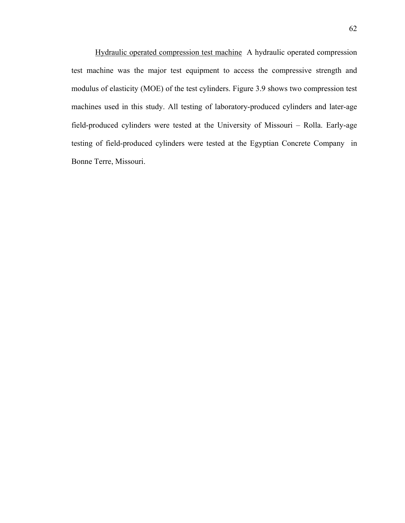Hydraulic operated compression test machine A hydraulic operated compression test machine was the major test equipment to access the compressive strength and modulus of elasticity (MOE) of the test cylinders. Figure 3.9 shows two compression test machines used in this study. All testing of laboratory-produced cylinders and later-age field-produced cylinders were tested at the University of Missouri – Rolla. Early-age testing of field-produced cylinders were tested at the Egyptian Concrete Company in Bonne Terre, Missouri.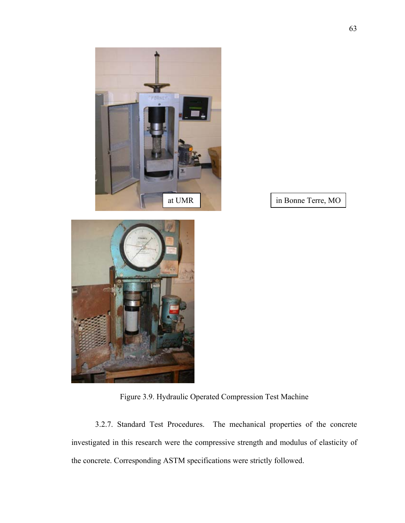



Figure 3.9. Hydraulic Operated Compression Test Machine

3.2.7. Standard Test Procedures. The mechanical properties of the concrete investigated in this research were the compressive strength and modulus of elasticity of the concrete. Corresponding ASTM specifications were strictly followed.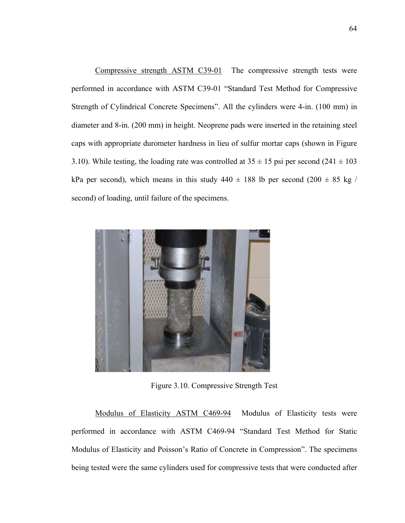Compressive strength ASTM C39-01 The compressive strength tests were performed in accordance with ASTM C39-01 "Standard Test Method for Compressive Strength of Cylindrical Concrete Specimens". All the cylinders were 4-in. (100 mm) in diameter and 8-in. (200 mm) in height. Neoprene pads were inserted in the retaining steel caps with appropriate durometer hardness in lieu of sulfur mortar caps (shown in Figure 3.10). While testing, the loading rate was controlled at  $35 \pm 15$  psi per second (241  $\pm$  103 kPa per second), which means in this study  $440 \pm 188$  lb per second  $(200 \pm 85 \text{ kg})$ second) of loading, until failure of the specimens.



Figure 3.10. Compressive Strength Test

Modulus of Elasticity ASTM C469-94 Modulus of Elasticity tests were performed in accordance with ASTM C469-94 "Standard Test Method for Static Modulus of Elasticity and Poisson's Ratio of Concrete in Compression". The specimens being tested were the same cylinders used for compressive tests that were conducted after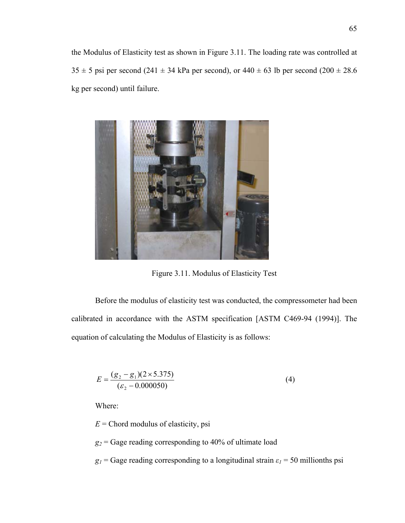the Modulus of Elasticity test as shown in Figure 3.11. The loading rate was controlled at  $35 \pm 5$  psi per second (241  $\pm$  34 kPa per second), or 440  $\pm$  63 lb per second (200  $\pm$  28.6 kg per second) until failure.



Figure 3.11. Modulus of Elasticity Test

Before the modulus of elasticity test was conducted, the compressometer had been calibrated in accordance with the ASTM specification [ASTM C469-94 (1994)]. The equation of calculating the Modulus of Elasticity is as follows:

$$
E = \frac{(g_2 - g_1)(2 \times 5.375)}{(\varepsilon_2 - 0.000050)}
$$
(4)

Where:

 $E =$ Chord modulus of elasticity, psi

 $g_2$  = Gage reading corresponding to 40% of ultimate load

*g<sub>1</sub>* = Gage reading corresponding to a longitudinal strain  $\varepsilon_1$  = 50 millionths psi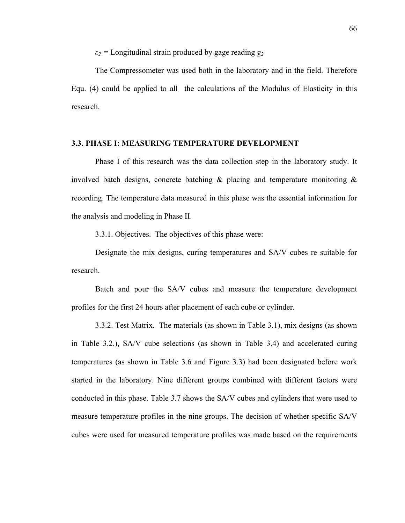*ε2 =* Longitudinal strain produced by gage reading *g2*

The Compressometer was used both in the laboratory and in the field. Therefore Equ. (4) could be applied to all the calculations of the Modulus of Elasticity in this research.

## **3.3. PHASE I: MEASURING TEMPERATURE DEVELOPMENT**

Phase I of this research was the data collection step in the laboratory study. It involved batch designs, concrete batching  $\&$  placing and temperature monitoring  $\&$ recording. The temperature data measured in this phase was the essential information for the analysis and modeling in Phase II.

3.3.1. Objectives. The objectives of this phase were:

Designate the mix designs, curing temperatures and SA/V cubes re suitable for research.

Batch and pour the SA/V cubes and measure the temperature development profiles for the first 24 hours after placement of each cube or cylinder.

3.3.2. Test Matrix. The materials (as shown in Table 3.1), mix designs (as shown in Table 3.2.), SA/V cube selections (as shown in Table 3.4) and accelerated curing temperatures (as shown in Table 3.6 and Figure 3.3) had been designated before work started in the laboratory. Nine different groups combined with different factors were conducted in this phase. Table 3.7 shows the SA/V cubes and cylinders that were used to measure temperature profiles in the nine groups. The decision of whether specific SA/V cubes were used for measured temperature profiles was made based on the requirements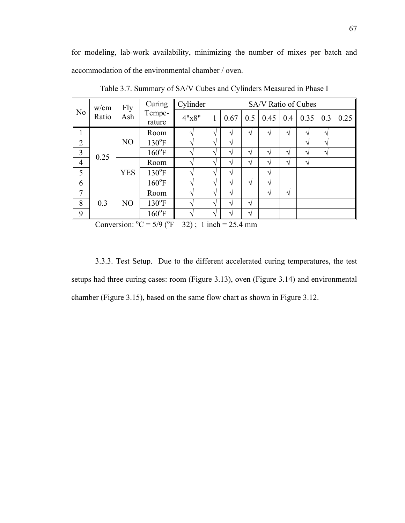for modeling, lab-work availability, minimizing the number of mixes per batch and accommodation of the environmental chamber / oven.

| N <sub>o</sub> | w/cm<br>Ratio | Fly<br>Ash     | Curing           | Cylinder<br>SA/V Ratio of Cubes |               |      |              |              |                   |              |                   |      |
|----------------|---------------|----------------|------------------|---------------------------------|---------------|------|--------------|--------------|-------------------|--------------|-------------------|------|
|                |               |                | Tempe-<br>rature | 4"x8"                           |               | 0.67 | 0.5          | 0.45         | $\vert 0.4 \vert$ | 0.35         | $\vert 0.3 \vert$ | 0.25 |
|                | 0.25          | N <sub>O</sub> | Room             |                                 | انه           | ٦    | $\mathbf{v}$ | $\mathbf{v}$ | $\mathbf{v}$      | $\mathbf{v}$ | N                 |      |
| $\overline{2}$ |               |                | $130^{\circ}F$   |                                 | $\mathcal{N}$ | ٦Ι   |              |              |                   | $\mathbf{v}$ | ا^                |      |
| 3              |               |                | $160^{\circ}F$   |                                 | انہ           |      | $\mathbf{v}$ | $\mathbf{v}$ | N                 | V            | ا^                |      |
| $\overline{4}$ |               | <b>YES</b>     | Room             |                                 | $\sqrt{ }$    | ٦    | N            | V            | N                 | V            |                   |      |
| 5              |               |                | $130^{\circ}F$   |                                 | $\sqrt{ }$    | V    |              | ٦            |                   |              |                   |      |
| 6              |               |                | $160^{\circ}F$   |                                 | $\mathcal{N}$ | V    | ٦            | V            |                   |              |                   |      |
| $\overline{7}$ | 0.3           | N <sub>O</sub> | Room             |                                 | $\mathcal{N}$ | ٦    |              | $\mathbf{v}$ | V                 |              |                   |      |
| 8              |               |                | $130^{\circ}F$   |                                 | $\mathcal{N}$ | V    | ٦Ι           |              |                   |              |                   |      |
| 9              |               |                | $160^{\circ}F$   |                                 | اد            |      |              |              |                   |              |                   |      |

Table 3.7. Summary of SA/V Cubes and Cylinders Measured in Phase I

Conversion:  ${}^{0}C = 5/9$  ( ${}^{0}F - 32$ ); 1 inch = 25.4 mm

3.3.3. Test Setup. Due to the different accelerated curing temperatures, the test setups had three curing cases: room (Figure 3.13), oven (Figure 3.14) and environmental chamber (Figure 3.15), based on the same flow chart as shown in Figure 3.12.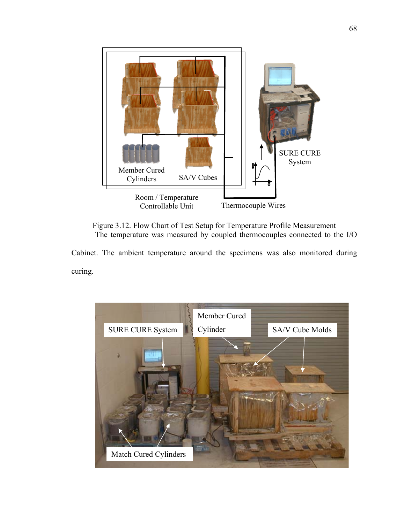

Figure 3.12. Flow Chart of Test Setup for Temperature Profile Measurement The temperature was measured by coupled thermocouples connected to the I/O

Cabinet. The ambient temperature around the specimens was also monitored during curing.

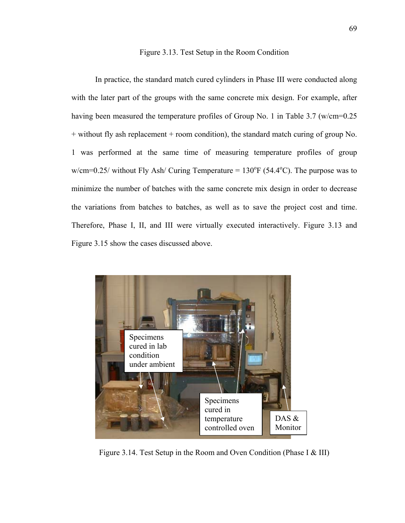## Figure 3.13. Test Setup in the Room Condition

In practice, the standard match cured cylinders in Phase III were conducted along with the later part of the groups with the same concrete mix design. For example, after having been measured the temperature profiles of Group No. 1 in Table 3.7 (w/cm=0.25 + without fly ash replacement + room condition), the standard match curing of group No. 1 was performed at the same time of measuring temperature profiles of group  $w/cm=0.25$  without Fly Ash Curing Temperature =  $130^{\circ}F(54.4^{\circ}C)$ . The purpose was to minimize the number of batches with the same concrete mix design in order to decrease the variations from batches to batches, as well as to save the project cost and time. Therefore, Phase I, II, and III were virtually executed interactively. Figure 3.13 and Figure 3.15 show the cases discussed above.



Figure 3.14. Test Setup in the Room and Oven Condition (Phase I & III)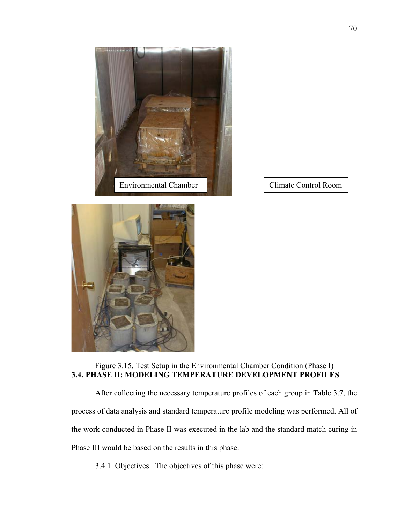



## Figure 3.15. Test Setup in the Environmental Chamber Condition (Phase I) **3.4. PHASE II: MODELING TEMPERATURE DEVELOPMENT PROFILES**

After collecting the necessary temperature profiles of each group in Table 3.7, the process of data analysis and standard temperature profile modeling was performed. All of the work conducted in Phase II was executed in the lab and the standard match curing in Phase III would be based on the results in this phase.

3.4.1. Objectives. The objectives of this phase were: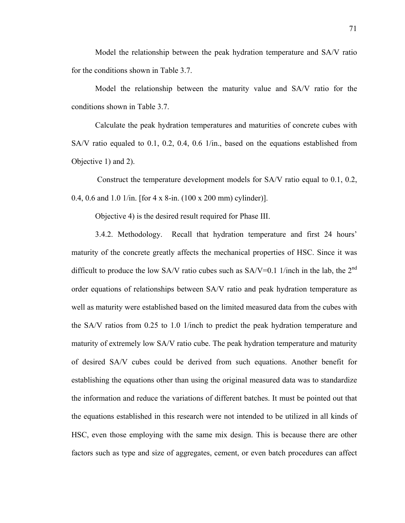Model the relationship between the peak hydration temperature and SA/V ratio for the conditions shown in Table 3.7.

Model the relationship between the maturity value and SA/V ratio for the conditions shown in Table 3.7.

Calculate the peak hydration temperatures and maturities of concrete cubes with SA/V ratio equaled to 0.1, 0.2, 0.4, 0.6 1/in., based on the equations established from Objective 1) and 2).

 Construct the temperature development models for SA/V ratio equal to 0.1, 0.2, 0.4, 0.6 and 1.0 1/in. [for 4 x 8-in. (100 x 200 mm) cylinder)].

Objective 4) is the desired result required for Phase III.

3.4.2. Methodology. Recall that hydration temperature and first 24 hours' maturity of the concrete greatly affects the mechanical properties of HSC. Since it was difficult to produce the low SA/V ratio cubes such as SA/V=0.1 1/inch in the lab, the  $2<sup>nd</sup>$ order equations of relationships between SA/V ratio and peak hydration temperature as well as maturity were established based on the limited measured data from the cubes with the SA/V ratios from 0.25 to 1.0 1/inch to predict the peak hydration temperature and maturity of extremely low SA/V ratio cube. The peak hydration temperature and maturity of desired SA/V cubes could be derived from such equations. Another benefit for establishing the equations other than using the original measured data was to standardize the information and reduce the variations of different batches. It must be pointed out that the equations established in this research were not intended to be utilized in all kinds of HSC, even those employing with the same mix design. This is because there are other factors such as type and size of aggregates, cement, or even batch procedures can affect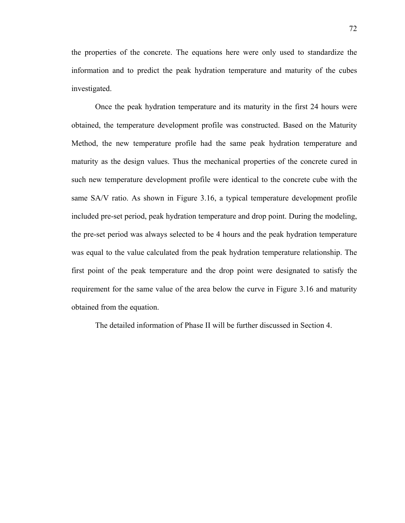the properties of the concrete. The equations here were only used to standardize the information and to predict the peak hydration temperature and maturity of the cubes investigated.

Once the peak hydration temperature and its maturity in the first 24 hours were obtained, the temperature development profile was constructed. Based on the Maturity Method, the new temperature profile had the same peak hydration temperature and maturity as the design values. Thus the mechanical properties of the concrete cured in such new temperature development profile were identical to the concrete cube with the same SA/V ratio. As shown in Figure 3.16, a typical temperature development profile included pre-set period, peak hydration temperature and drop point. During the modeling, the pre-set period was always selected to be 4 hours and the peak hydration temperature was equal to the value calculated from the peak hydration temperature relationship. The first point of the peak temperature and the drop point were designated to satisfy the requirement for the same value of the area below the curve in Figure 3.16 and maturity obtained from the equation.

The detailed information of Phase II will be further discussed in Section 4.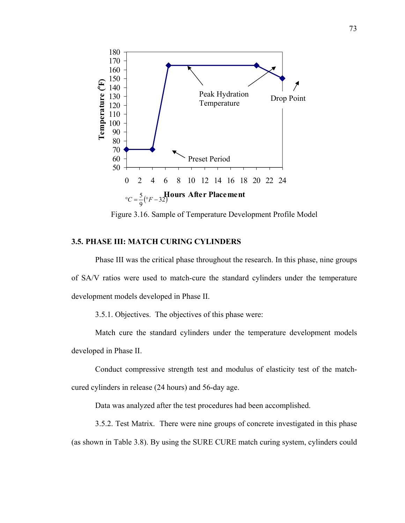

Figure 3.16. Sample of Temperature Development Profile Model

## **3.5. PHASE III: MATCH CURING CYLINDERS**

Phase III was the critical phase throughout the research. In this phase, nine groups of SA/V ratios were used to match-cure the standard cylinders under the temperature development models developed in Phase II.

3.5.1. Objectives. The objectives of this phase were:

Match cure the standard cylinders under the temperature development models developed in Phase II.

Conduct compressive strength test and modulus of elasticity test of the matchcured cylinders in release (24 hours) and 56-day age.

Data was analyzed after the test procedures had been accomplished.

3.5.2. Test Matrix. There were nine groups of concrete investigated in this phase (as shown in Table 3.8). By using the SURE CURE match curing system, cylinders could